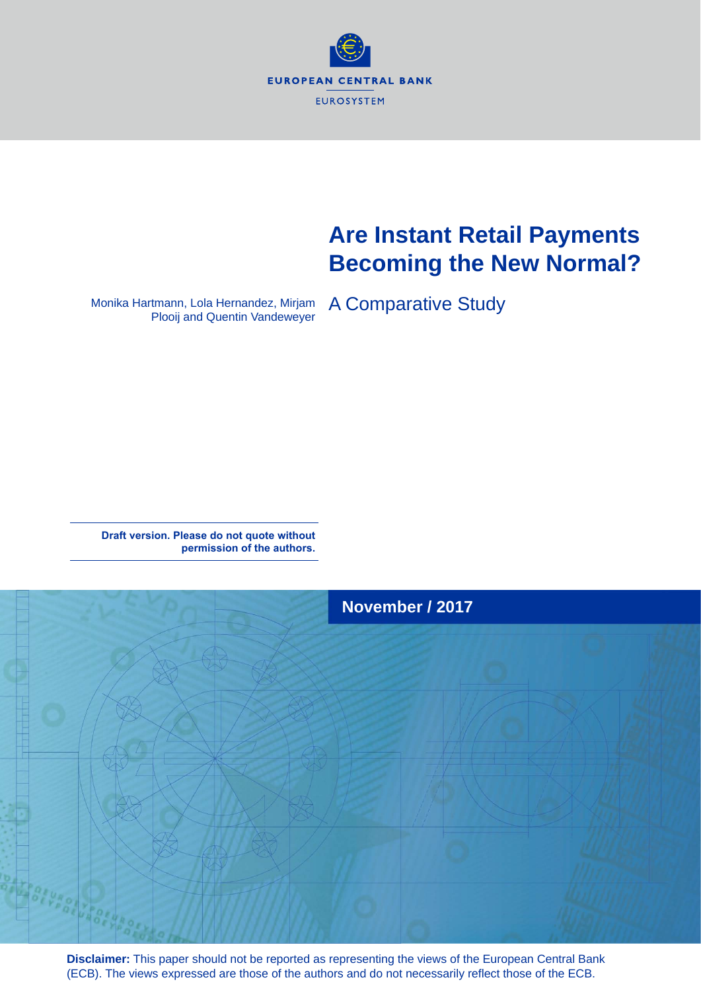

# **Are Instant Retail Payments Becoming the New Normal?**

Monika Hartmann, Lola Hernandez, Mirjam Plooij and Quentin Vandeweyer

A Comparative Study

**Draft version. Please do not quote without permission of the authors.** 



**Disclaimer:** This paper should not be reported as representing the views of the European Central Bank (ECB). The views expressed are those of the authors and do not necessarily reflect those of the ECB.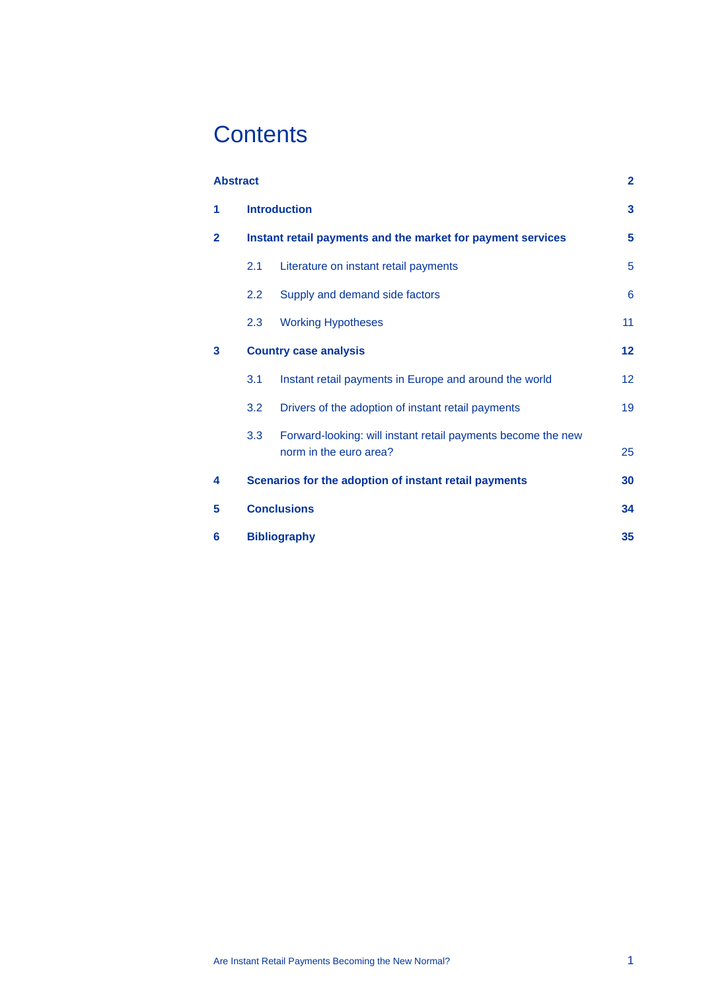# **Contents**

| <b>Abstract</b> |                                                             |                                                                                        | $\overline{2}$ |  |  |  |  |
|-----------------|-------------------------------------------------------------|----------------------------------------------------------------------------------------|----------------|--|--|--|--|
| 1               |                                                             | <b>Introduction</b>                                                                    | 3              |  |  |  |  |
| $\overline{2}$  | Instant retail payments and the market for payment services |                                                                                        |                |  |  |  |  |
|                 | 2.1                                                         | Literature on instant retail payments                                                  | 5              |  |  |  |  |
|                 | 2.2                                                         | Supply and demand side factors                                                         | 6              |  |  |  |  |
|                 | 2.3                                                         | <b>Working Hypotheses</b>                                                              | 11             |  |  |  |  |
| 3               | <b>Country case analysis</b>                                |                                                                                        |                |  |  |  |  |
|                 | 3.1                                                         | Instant retail payments in Europe and around the world                                 | 12             |  |  |  |  |
|                 | 3.2                                                         | Drivers of the adoption of instant retail payments                                     | 19             |  |  |  |  |
|                 | 3.3                                                         | Forward-looking: will instant retail payments become the new<br>norm in the euro area? | 25             |  |  |  |  |
| 4               |                                                             | Scenarios for the adoption of instant retail payments                                  | 30             |  |  |  |  |
| 5               |                                                             | <b>Conclusions</b>                                                                     | 34             |  |  |  |  |
| 6               | <b>Bibliography</b>                                         |                                                                                        |                |  |  |  |  |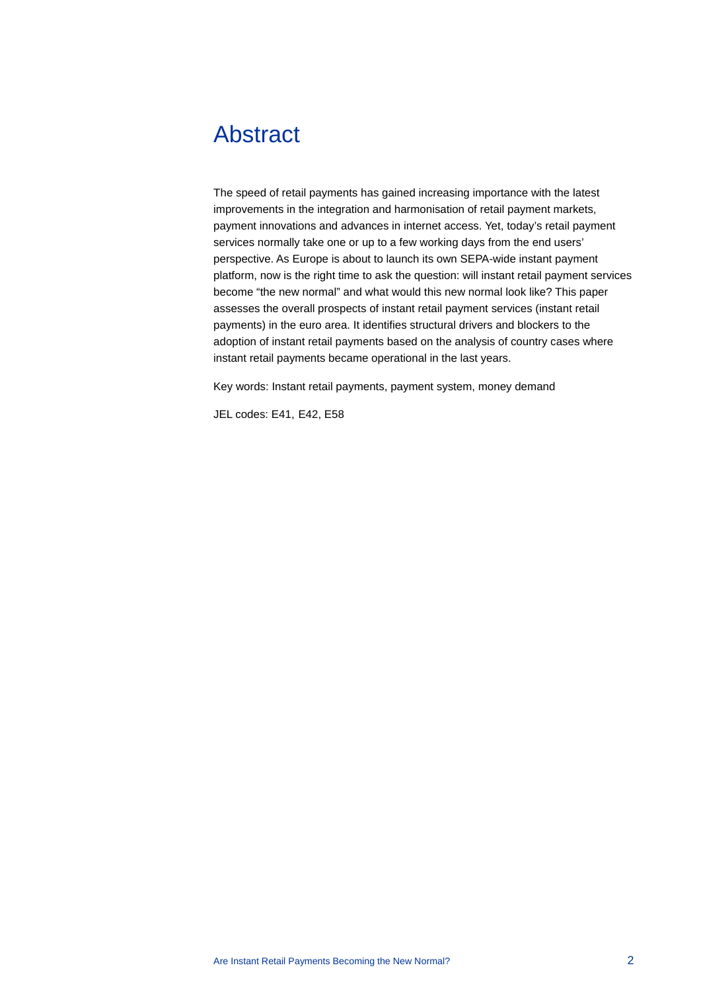## <span id="page-2-0"></span>Abstract

The speed of retail payments has gained increasing importance with the latest improvements in the integration and harmonisation of retail payment markets, payment innovations and advances in internet access. Yet, today's retail payment services normally take one or up to a few working days from the end users' perspective. As Europe is about to launch its own SEPA-wide instant payment platform, now is the right time to ask the question: will instant retail payment services become "the new normal" and what would this new normal look like? This paper assesses the overall prospects of instant retail payment services (instant retail payments) in the euro area. It identifies structural drivers and blockers to the adoption of instant retail payments based on the analysis of country cases where instant retail payments became operational in the last years.

Key words: Instant retail payments, payment system, money demand

JEL codes: E41, E42, E58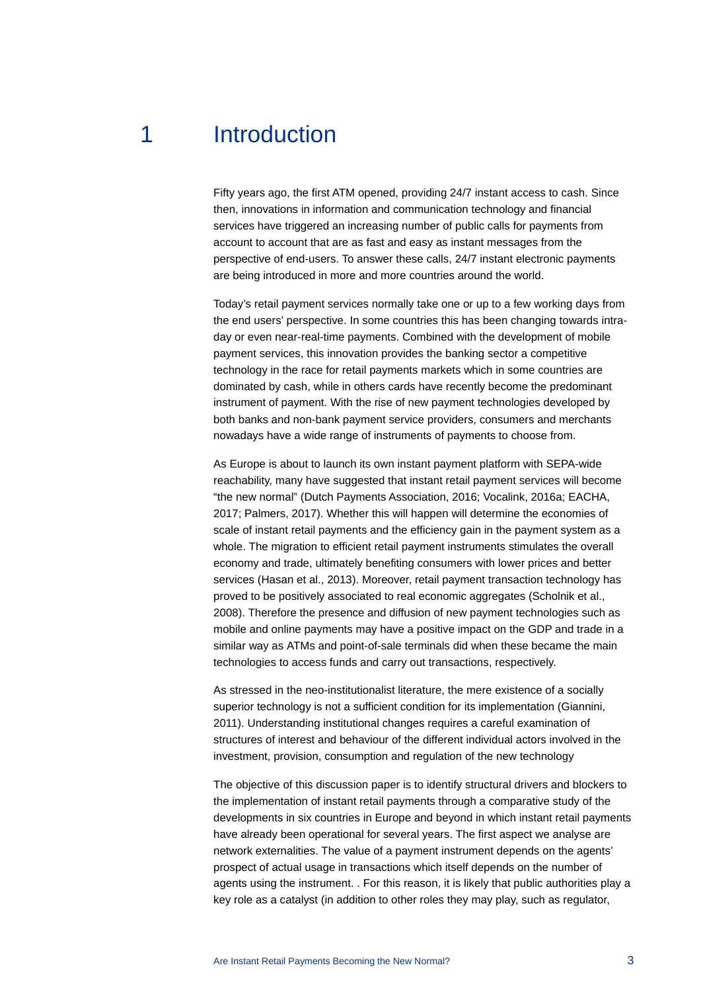## 1 Introduction

<span id="page-3-0"></span>Fifty years ago, the first ATM opened, providing 24/7 instant access to cash. Since then, innovations in information and communication technology and financial services have triggered an increasing number of public calls for payments from account to account that are as fast and easy as instant messages from the perspective of end-users. To answer these calls, 24/7 instant electronic payments are being introduced in more and more countries around the world.

Today's retail payment services normally take one or up to a few working days from the end users' perspective. In some countries this has been changing towards intraday or even near-real-time payments. Combined with the development of mobile payment services, this innovation provides the banking sector a competitive technology in the race for retail payments markets which in some countries are dominated by cash, while in others cards have recently become the predominant instrument of payment. With the rise of new payment technologies developed by both banks and non-bank payment service providers, consumers and merchants nowadays have a wide range of instruments of payments to choose from.

As Europe is about to launch its own instant payment platform with SEPA-wide reachability, many have suggested that instant retail payment services will become "the new normal" (Dutch Payments Association, 2016; Vocalink, 2016a; EACHA, 2017; Palmers, 2017). Whether this will happen will determine the economies of scale of instant retail payments and the efficiency gain in the payment system as a whole. The migration to efficient retail payment instruments stimulates the overall economy and trade, ultimately benefiting consumers with lower prices and better services (Hasan et al., 2013). Moreover, retail payment transaction technology has proved to be positively associated to real economic aggregates (Scholnik et al., 2008). Therefore the presence and diffusion of new payment technologies such as mobile and online payments may have a positive impact on the GDP and trade in a similar way as ATMs and point-of-sale terminals did when these became the main technologies to access funds and carry out transactions, respectively.

As stressed in the neo-institutionalist literature, the mere existence of a socially superior technology is not a sufficient condition for its implementation (Giannini, 2011). Understanding institutional changes requires a careful examination of structures of interest and behaviour of the different individual actors involved in the investment, provision, consumption and regulation of the new technology

The objective of this discussion paper is to identify structural drivers and blockers to the implementation of instant retail payments through a comparative study of the developments in six countries in Europe and beyond in which instant retail payments have already been operational for several years. The first aspect we analyse are network externalities. The value of a payment instrument depends on the agents' prospect of actual usage in transactions which itself depends on the number of agents using the instrument. . For this reason, it is likely that public authorities play a key role as a catalyst (in addition to other roles they may play, such as regulator,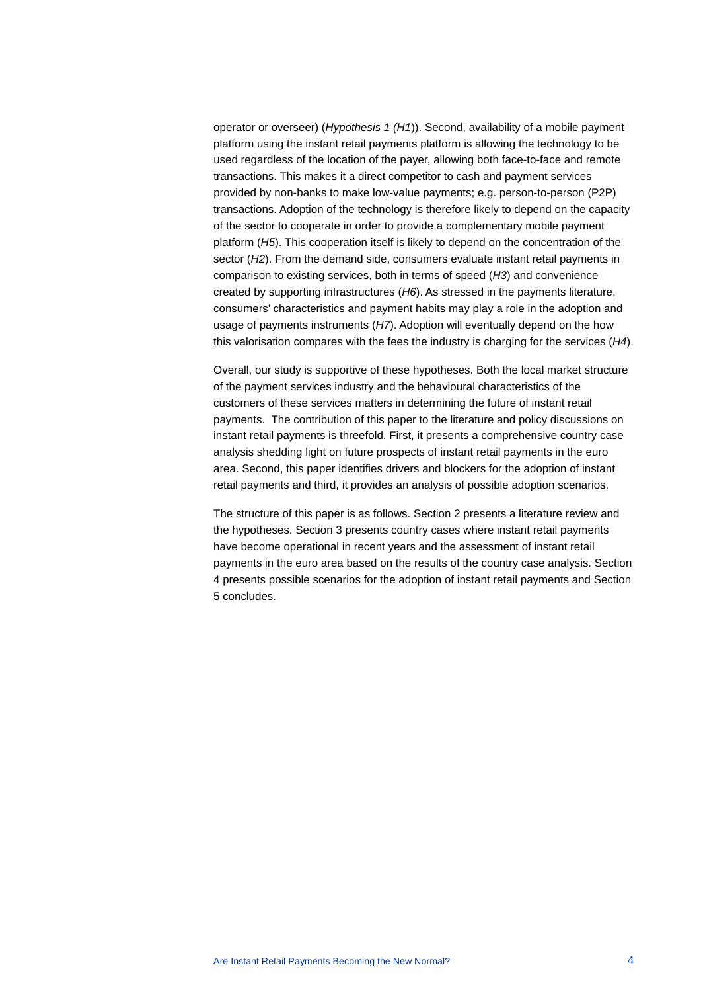operator or overseer) (*Hypothesis 1 (H1*)). Second, availability of a mobile payment platform using the instant retail payments platform is allowing the technology to be used regardless of the location of the payer, allowing both face-to-face and remote transactions. This makes it a direct competitor to cash and payment services provided by non-banks to make low-value payments; e.g. person-to-person (P2P) transactions. Adoption of the technology is therefore likely to depend on the capacity of the sector to cooperate in order to provide a complementary mobile payment platform (*H5*). This cooperation itself is likely to depend on the concentration of the sector (*H2*). From the demand side, consumers evaluate instant retail payments in comparison to existing services, both in terms of speed (*H3*) and convenience created by supporting infrastructures (*H6*). As stressed in the payments literature, consumers' characteristics and payment habits may play a role in the adoption and usage of payments instruments (*H7*). Adoption will eventually depend on the how this valorisation compares with the fees the industry is charging for the services (*H4*).

Overall, our study is supportive of these hypotheses. Both the local market structure of the payment services industry and the behavioural characteristics of the customers of these services matters in determining the future of instant retail payments. The contribution of this paper to the literature and policy discussions on instant retail payments is threefold. First, it presents a comprehensive country case analysis shedding light on future prospects of instant retail payments in the euro area. Second, this paper identifies drivers and blockers for the adoption of instant retail payments and third, it provides an analysis of possible adoption scenarios.

The structure of this paper is as follows. Section 2 presents a literature review and the hypotheses. Section 3 presents country cases where instant retail payments have become operational in recent years and the assessment of instant retail payments in the euro area based on the results of the country case analysis. Section 4 presents possible scenarios for the adoption of instant retail payments and Section 5 concludes.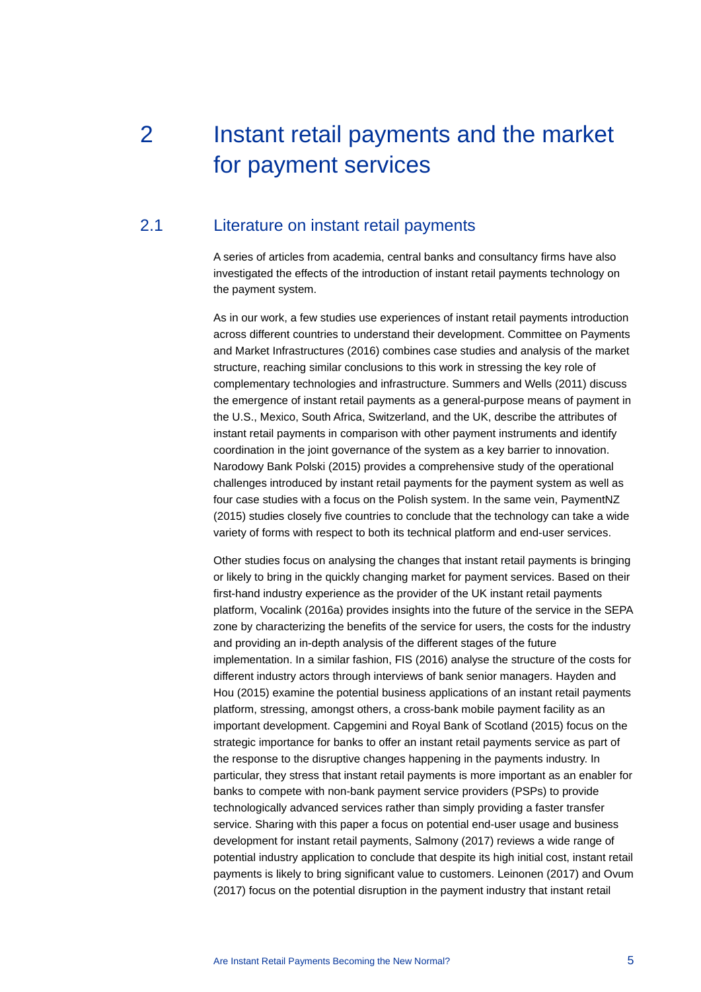# <span id="page-5-0"></span>2 Instant retail payments and the market for payment services

## 2.1 Literature on instant retail payments

<span id="page-5-1"></span>A series of articles from academia, central banks and consultancy firms have also investigated the effects of the introduction of instant retail payments technology on the payment system.

As in our work, a few studies use experiences of instant retail payments introduction across different countries to understand their development. Committee on Payments and Market Infrastructures (2016) combines case studies and analysis of the market structure, reaching similar conclusions to this work in stressing the key role of complementary technologies and infrastructure. Summers and Wells (2011) discuss the emergence of instant retail payments as a general-purpose means of payment in the U.S., Mexico, South Africa, Switzerland, and the UK, describe the attributes of instant retail payments in comparison with other payment instruments and identify coordination in the joint governance of the system as a key barrier to innovation. Narodowy Bank Polski (2015) provides a comprehensive study of the operational challenges introduced by instant retail payments for the payment system as well as four case studies with a focus on the Polish system. In the same vein, PaymentNZ (2015) studies closely five countries to conclude that the technology can take a wide variety of forms with respect to both its technical platform and end-user services.

Other studies focus on analysing the changes that instant retail payments is bringing or likely to bring in the quickly changing market for payment services. Based on their first-hand industry experience as the provider of the UK instant retail payments platform, Vocalink (2016a) provides insights into the future of the service in the SEPA zone by characterizing the benefits of the service for users, the costs for the industry and providing an in-depth analysis of the different stages of the future implementation. In a similar fashion, FIS (2016) analyse the structure of the costs for different industry actors through interviews of bank senior managers. Hayden and Hou (2015) examine the potential business applications of an instant retail payments platform, stressing, amongst others, a cross-bank mobile payment facility as an important development. Capgemini and Royal Bank of Scotland (2015) focus on the strategic importance for banks to offer an instant retail payments service as part of the response to the disruptive changes happening in the payments industry. In particular, they stress that instant retail payments is more important as an enabler for banks to compete with non-bank payment service providers (PSPs) to provide technologically advanced services rather than simply providing a faster transfer service. Sharing with this paper a focus on potential end-user usage and business development for instant retail payments, Salmony (2017) reviews a wide range of potential industry application to conclude that despite its high initial cost, instant retail payments is likely to bring significant value to customers. Leinonen (2017) and Ovum (2017) focus on the potential disruption in the payment industry that instant retail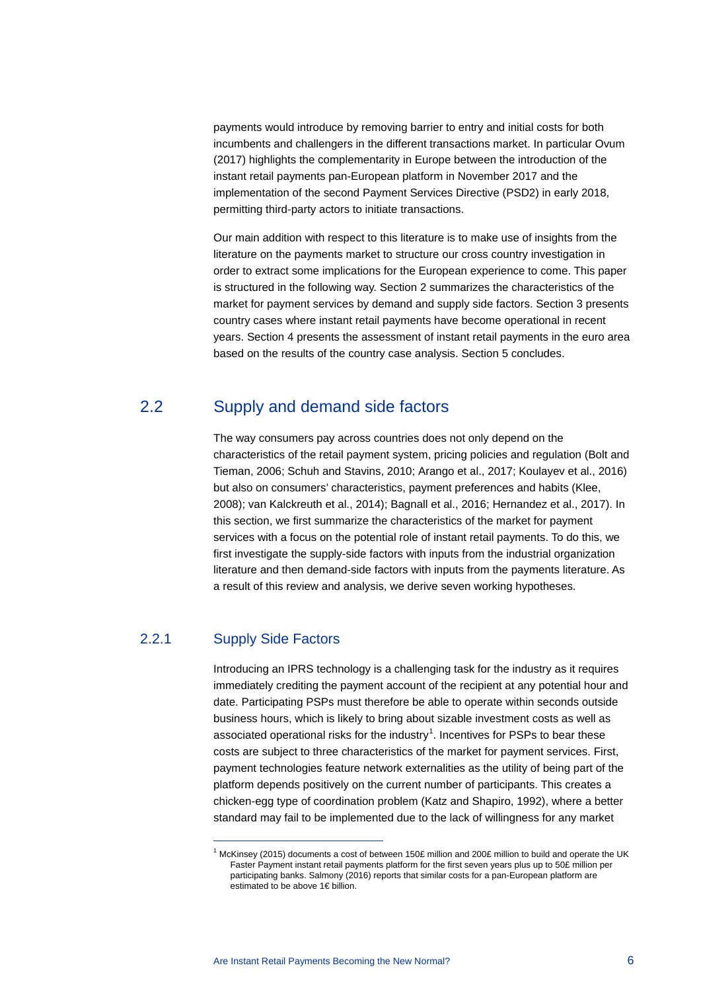payments would introduce by removing barrier to entry and initial costs for both incumbents and challengers in the different transactions market. In particular Ovum (2017) highlights the complementarity in Europe between the introduction of the instant retail payments pan-European platform in November 2017 and the implementation of the second Payment Services Directive (PSD2) in early 2018, permitting third-party actors to initiate transactions.

Our main addition with respect to this literature is to make use of insights from the literature on the payments market to structure our cross country investigation in order to extract some implications for the European experience to come. This paper is structured in the following way. Section 2 summarizes the characteristics of the market for payment services by demand and supply side factors. Section 3 presents country cases where instant retail payments have become operational in recent years. Section 4 presents the assessment of instant retail payments in the euro area based on the results of the country case analysis. Section 5 concludes.

## 2.2 Supply and demand side factors

<span id="page-6-0"></span>The way consumers pay across countries does not only depend on the characteristics of the retail payment system, pricing policies and regulation (Bolt and Tieman, 2006; Schuh and Stavins, 2010; Arango et al., 2017; Koulayev et al., 2016) but also on consumers' characteristics, payment preferences and habits (Klee, 2008); van Kalckreuth et al., 2014); Bagnall et al., 2016; Hernandez et al., 2017). In this section, we first summarize the characteristics of the market for payment services with a focus on the potential role of instant retail payments. To do this, we first investigate the supply-side factors with inputs from the industrial organization literature and then demand-side factors with inputs from the payments literature. As a result of this review and analysis, we derive seven working hypotheses.

## 2.2.1 Supply Side Factors

 $\overline{a}$ 

Introducing an IPRS technology is a challenging task for the industry as it requires immediately crediting the payment account of the recipient at any potential hour and date. Participating PSPs must therefore be able to operate within seconds outside business hours, which is likely to bring about sizable investment costs as well as associated operational risks for the industry<sup>[1](#page-6-1)</sup>. Incentives for PSPs to bear these costs are subject to three characteristics of the market for payment services. First, payment technologies feature network externalities as the utility of being part of the platform depends positively on the current number of participants. This creates a chicken-egg type of coordination problem (Katz and Shapiro, 1992), where a better standard may fail to be implemented due to the lack of willingness for any market

<span id="page-6-1"></span><sup>&</sup>lt;sup>1</sup> McKinsey (2015) documents a cost of between 150£ million and 200£ million to build and operate the UK Faster Payment instant retail payments platform for the first seven years plus up to 50£ million per participating banks. Salmony (2016) reports that similar costs for a pan-European platform are estimated to be above 1€ billion.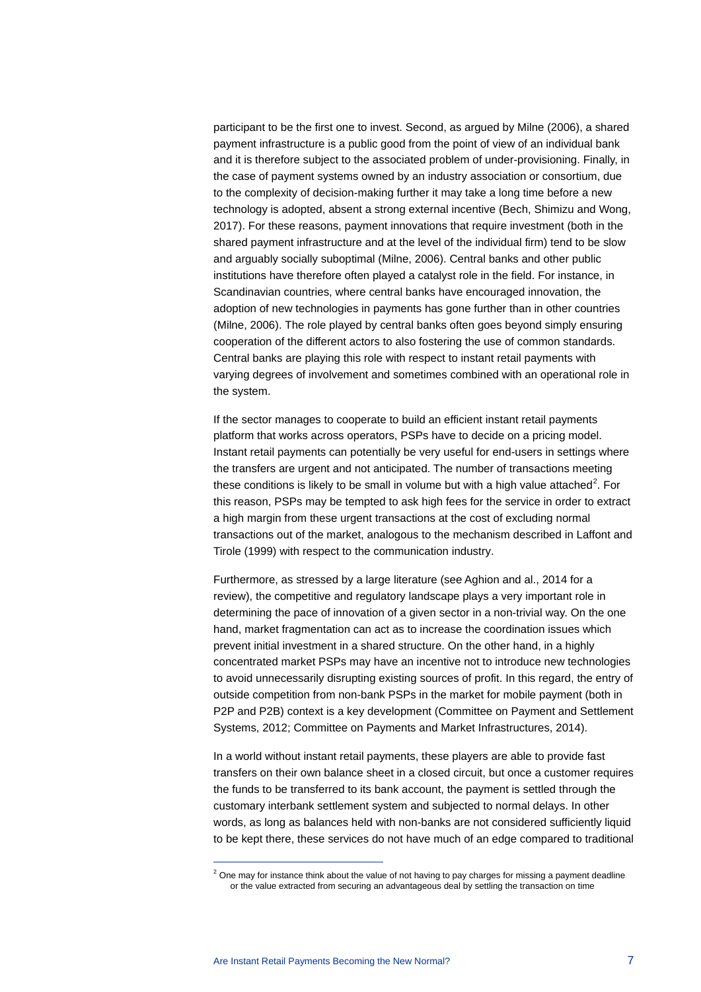participant to be the first one to invest. Second, as argued by Milne (2006), a shared payment infrastructure is a public good from the point of view of an individual bank and it is therefore subject to the associated problem of under-provisioning. Finally, in the case of payment systems owned by an industry association or consortium, due to the complexity of decision-making further it may take a long time before a new technology is adopted, absent a strong external incentive (Bech, Shimizu and Wong, 2017). For these reasons, payment innovations that require investment (both in the shared payment infrastructure and at the level of the individual firm) tend to be slow and arguably socially suboptimal (Milne, 2006). Central banks and other public institutions have therefore often played a catalyst role in the field. For instance, in Scandinavian countries, where central banks have encouraged innovation, the adoption of new technologies in payments has gone further than in other countries (Milne, 2006). The role played by central banks often goes beyond simply ensuring cooperation of the different actors to also fostering the use of common standards. Central banks are playing this role with respect to instant retail payments with varying degrees of involvement and sometimes combined with an operational role in the system.

If the sector manages to cooperate to build an efficient instant retail payments platform that works across operators, PSPs have to decide on a pricing model. Instant retail payments can potentially be very useful for end-users in settings where the transfers are urgent and not anticipated. The number of transactions meeting these conditions is likely to be small in volume but with a high value attached<sup>[2](#page-7-0)</sup>. For this reason, PSPs may be tempted to ask high fees for the service in order to extract a high margin from these urgent transactions at the cost of excluding normal transactions out of the market, analogous to the mechanism described in Laffont and Tirole (1999) with respect to the communication industry.

Furthermore, as stressed by a large literature (see Aghion and al., 2014 for a review), the competitive and regulatory landscape plays a very important role in determining the pace of innovation of a given sector in a non-trivial way. On the one hand, market fragmentation can act as to increase the coordination issues which prevent initial investment in a shared structure. On the other hand, in a highly concentrated market PSPs may have an incentive not to introduce new technologies to avoid unnecessarily disrupting existing sources of profit. In this regard, the entry of outside competition from non-bank PSPs in the market for mobile payment (both in P2P and P2B) context is a key development (Committee on Payment and Settlement Systems, 2012; Committee on Payments and Market Infrastructures, 2014).

In a world without instant retail payments, these players are able to provide fast transfers on their own balance sheet in a closed circuit, but once a customer requires the funds to be transferred to its bank account, the payment is settled through the customary interbank settlement system and subjected to normal delays. In other words, as long as balances held with non-banks are not considered sufficiently liquid to be kept there, these services do not have much of an edge compared to traditional

 $\overline{a}$ 

<span id="page-7-0"></span> $2$  One may for instance think about the value of not having to pay charges for missing a payment deadline or the value extracted from securing an advantageous deal by settling the transaction on time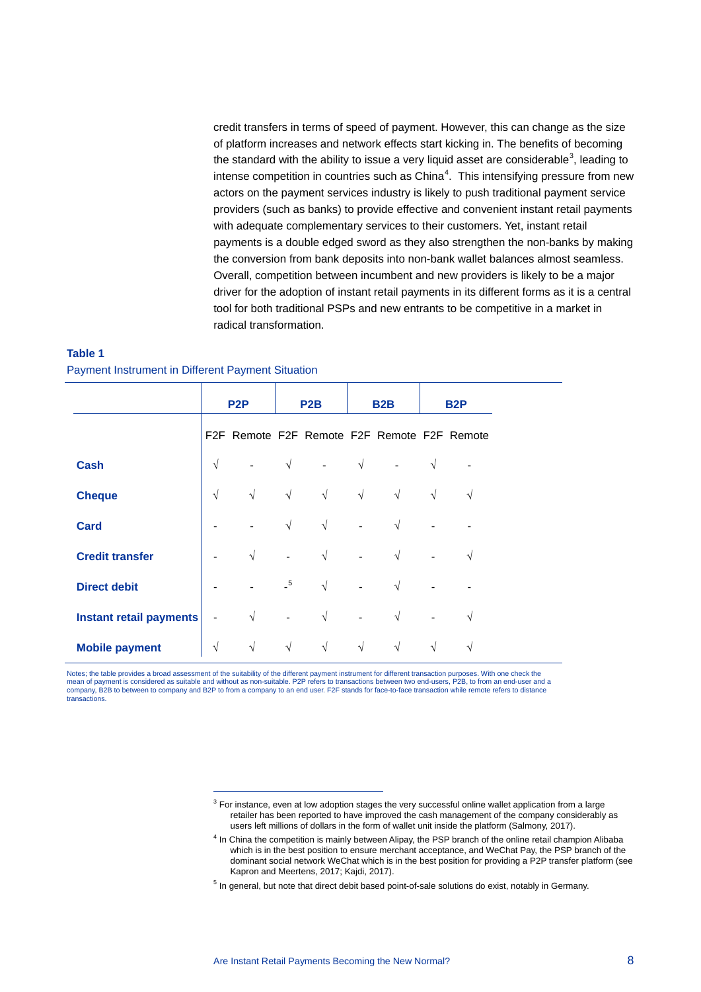credit transfers in terms of speed of payment. However, this can change as the size of platform increases and network effects start kicking in. The benefits of becoming the standard with the ability to issue a very liquid asset are considerable<sup>[3](#page-8-0)</sup>, leading to intense competition in countries such as  $China<sup>4</sup>$  $China<sup>4</sup>$  $China<sup>4</sup>$ . This intensifying pressure from new actors on the payment services industry is likely to push traditional payment service providers (such as banks) to provide effective and convenient instant retail payments with adequate complementary services to their customers. Yet, instant retail payments is a double edged sword as they also strengthen the non-banks by making the conversion from bank deposits into non-bank wallet balances almost seamless. Overall, competition between incumbent and new providers is likely to be a major driver for the adoption of instant retail payments in its different forms as it is a central tool for both traditional PSPs and new entrants to be competitive in a market in radical transformation.

#### **Table 1**

Payment Instrument in Different Payment Situation

 $\overline{a}$ 

|                         | P <sub>2</sub> P |                                             | P2B            |            | B <sub>2</sub> B |            | B <sub>2</sub> P         |            |
|-------------------------|------------------|---------------------------------------------|----------------|------------|------------------|------------|--------------------------|------------|
|                         |                  | F2F Remote F2F Remote F2F Remote F2F Remote |                |            |                  |            |                          |            |
| <b>Cash</b>             | $\sqrt{ }$       |                                             | $\sqrt{ }$     |            | $\sqrt{ }$       |            | $\sqrt{ }$               |            |
| <b>Cheque</b>           | $\sqrt{ }$       | $\sqrt{ }$                                  | $\sqrt{ }$     | $\sqrt{ }$ | $\sqrt{ }$       | $\sqrt{ }$ | $\sqrt{ }$               | $\sqrt{ }$ |
| <b>Card</b>             |                  |                                             | $\sqrt{ }$     | $\sqrt{ }$ | $\frac{1}{2}$    | $\sqrt{ }$ |                          |            |
| <b>Credit transfer</b>  |                  | $\sqrt{ }$                                  | $\overline{a}$ | $\sqrt{ }$ |                  | $\sqrt{ }$ |                          | $\sqrt{ }$ |
| <b>Direct debit</b>     |                  |                                             | $-5$           | $\sqrt{ }$ |                  | $\sqrt{ }$ |                          |            |
| Instant retail payments | $\blacksquare$   | $\sqrt{ }$                                  | $\frac{1}{2}$  | $\sqrt{ }$ | $\equiv$         | $\sqrt{}$  | $\overline{\phantom{a}}$ | V          |
| <b>Mobile payment</b>   | $\sqrt{}$        | $\sqrt{ }$                                  | $\sqrt{ }$     | $\sqrt{ }$ | $\sqrt{ }$       | $\sqrt{ }$ | $\sqrt{ }$               | V          |

<span id="page-8-1"></span><span id="page-8-0"></span>Notes; the table provides a broad assessment of the suitability of the different payment instrument for different transaction purposes. With one check the mean of payment is considered as suitable and without as non-suitable. P2P refers to transactions between two end-users, P2B, to from an end-user and a company, B2B to between to company and B2P to from a company to an end user. F2F stands for face-to-face transaction while remote refers to distance transactions.

 $3$  For instance, even at low adoption stages the very successful online wallet application from a large retailer has been reported to have improved the cash management of the company considerably as users left millions of dollars in the form of wallet unit inside the platform (Salmony, 2017).

<sup>4</sup> In China the competition is mainly between Alipay, the PSP branch of the online retail champion Alibaba which is in the best position to ensure merchant acceptance, and WeChat Pay, the PSP branch of the dominant social network WeChat which is in the best position for providing a P2P transfer platform (see Kapron and Meertens, 2017; Kajdi, 2017).

<span id="page-8-2"></span><sup>&</sup>lt;sup>5</sup> In general, but note that direct debit based point-of-sale solutions do exist, notably in Germany.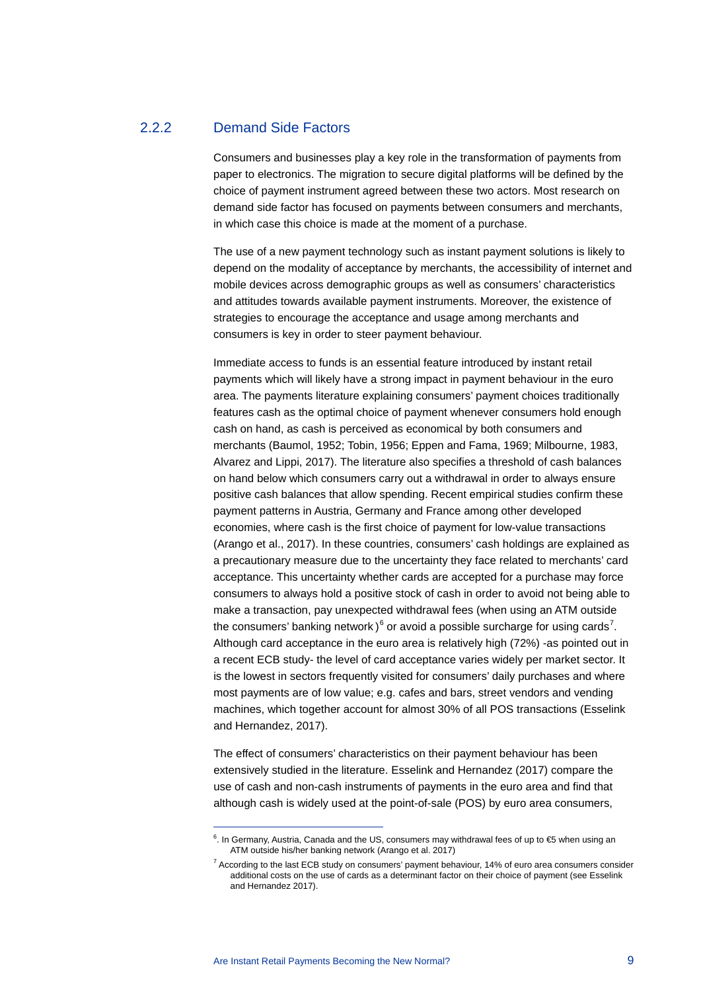### 2.2.2 Demand Side Factors

Consumers and businesses play a key role in the transformation of payments from paper to electronics. The migration to secure digital platforms will be defined by the choice of payment instrument agreed between these two actors. Most research on demand side factor has focused on payments between consumers and merchants, in which case this choice is made at the moment of a purchase.

The use of a new payment technology such as instant payment solutions is likely to depend on the modality of acceptance by merchants, the accessibility of internet and mobile devices across demographic groups as well as consumers' characteristics and attitudes towards available payment instruments. Moreover, the existence of strategies to encourage the acceptance and usage among merchants and consumers is key in order to steer payment behaviour.

Immediate access to funds is an essential feature introduced by instant retail payments which will likely have a strong impact in payment behaviour in the euro area. The payments literature explaining consumers' payment choices traditionally features cash as the optimal choice of payment whenever consumers hold enough cash on hand, as cash is perceived as economical by both consumers and merchants (Baumol, 1952; Tobin, 1956; Eppen and Fama, 1969; Milbourne, 1983, Alvarez and Lippi, 2017). The literature also specifies a threshold of cash balances on hand below which consumers carry out a withdrawal in order to always ensure positive cash balances that allow spending. Recent empirical studies confirm these payment patterns in Austria, Germany and France among other developed economies, where cash is the first choice of payment for low-value transactions (Arango et al., 2017). In these countries, consumers' cash holdings are explained as a precautionary measure due to the uncertainty they face related to merchants' card acceptance. This uncertainty whether cards are accepted for a purchase may force consumers to always hold a positive stock of cash in order to avoid not being able to make a transaction, pay unexpected withdrawal fees (when using an ATM outside the consumers' banking network) $^6$  $^6$  or avoid a possible surcharge for using cards<sup>[7](#page-9-1)</sup>. Although card acceptance in the euro area is relatively high (72%) -as pointed out in a recent ECB study- the level of card acceptance varies widely per market sector. It is the lowest in sectors frequently visited for consumers' daily purchases and where most payments are of low value; e.g. cafes and bars, street vendors and vending machines, which together account for almost 30% of all POS transactions (Esselink and Hernandez, 2017).

The effect of consumers' characteristics on their payment behaviour has been extensively studied in the literature. Esselink and Hernandez (2017) compare the use of cash and non-cash instruments of payments in the euro area and find that although cash is widely used at the point-of-sale (POS) by euro area consumers,

 $\overline{a}$ 

<span id="page-9-0"></span> $<sup>6</sup>$ . In Germany, Austria, Canada and the US, consumers may withdrawal fees of up to €5 when using an</sup> ATM outside his/her banking network (Arango et al. 2017)

<span id="page-9-1"></span> $7$  According to the last ECB study on consumers' payment behaviour, 14% of euro area consumers consider additional costs on the use of cards as a determinant factor on their choice of payment (see Esselink and Hernandez 2017).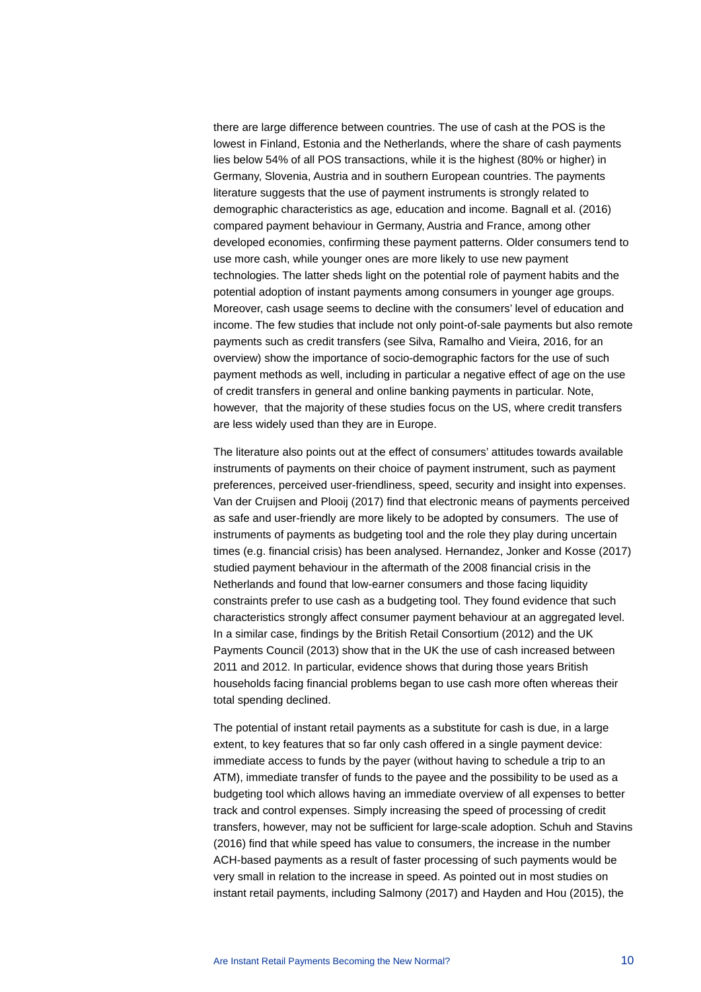there are large difference between countries. The use of cash at the POS is the lowest in Finland, Estonia and the Netherlands, where the share of cash payments lies below 54% of all POS transactions, while it is the highest (80% or higher) in Germany, Slovenia, Austria and in southern European countries. The payments literature suggests that the use of payment instruments is strongly related to demographic characteristics as age, education and income. Bagnall et al. (2016) compared payment behaviour in Germany, Austria and France, among other developed economies, confirming these payment patterns. Older consumers tend to use more cash, while younger ones are more likely to use new payment technologies. The latter sheds light on the potential role of payment habits and the potential adoption of instant payments among consumers in younger age groups. Moreover, cash usage seems to decline with the consumers' level of education and income. The few studies that include not only point-of-sale payments but also remote payments such as credit transfers (see Silva, Ramalho and Vieira, 2016, for an overview) show the importance of socio-demographic factors for the use of such payment methods as well, including in particular a negative effect of age on the use of credit transfers in general and online banking payments in particular. Note, however, that the majority of these studies focus on the US, where credit transfers are less widely used than they are in Europe.

The literature also points out at the effect of consumers' attitudes towards available instruments of payments on their choice of payment instrument, such as payment preferences, perceived user-friendliness, speed, security and insight into expenses. Van der Cruijsen and Plooij (2017) find that electronic means of payments perceived as safe and user-friendly are more likely to be adopted by consumers. The use of instruments of payments as budgeting tool and the role they play during uncertain times (e.g. financial crisis) has been analysed. Hernandez, Jonker and Kosse (2017) studied payment behaviour in the aftermath of the 2008 financial crisis in the Netherlands and found that low-earner consumers and those facing liquidity constraints prefer to use cash as a budgeting tool. They found evidence that such characteristics strongly affect consumer payment behaviour at an aggregated level. In a similar case, findings by the British Retail Consortium (2012) and the UK Payments Council (2013) show that in the UK the use of cash increased between 2011 and 2012. In particular, evidence shows that during those years British households facing financial problems began to use cash more often whereas their total spending declined.

The potential of instant retail payments as a substitute for cash is due, in a large extent, to key features that so far only cash offered in a single payment device: immediate access to funds by the payer (without having to schedule a trip to an ATM), immediate transfer of funds to the payee and the possibility to be used as a budgeting tool which allows having an immediate overview of all expenses to better track and control expenses. Simply increasing the speed of processing of credit transfers, however, may not be sufficient for large-scale adoption. Schuh and Stavins (2016) find that while speed has value to consumers, the increase in the number ACH-based payments as a result of faster processing of such payments would be very small in relation to the increase in speed. As pointed out in most studies on instant retail payments, including Salmony (2017) and Hayden and Hou (2015), the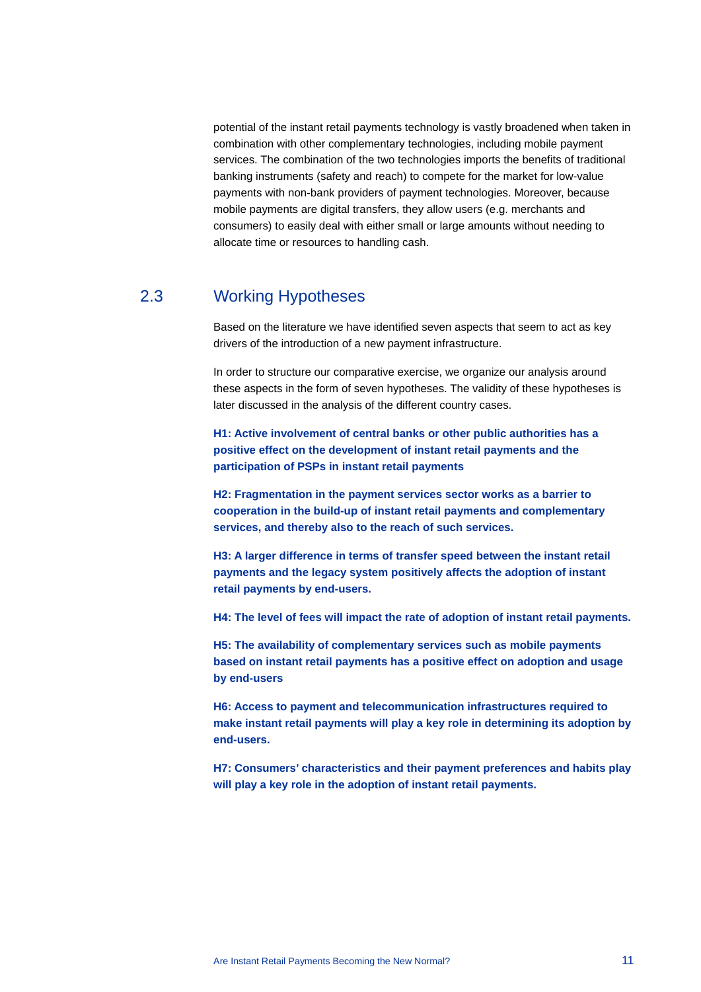potential of the instant retail payments technology is vastly broadened when taken in combination with other complementary technologies, including mobile payment services. The combination of the two technologies imports the benefits of traditional banking instruments (safety and reach) to compete for the market for low-value payments with non-bank providers of payment technologies. Moreover, because mobile payments are digital transfers, they allow users (e.g. merchants and consumers) to easily deal with either small or large amounts without needing to allocate time or resources to handling cash.

## 2.3 Working Hypotheses

<span id="page-11-0"></span>Based on the literature we have identified seven aspects that seem to act as key drivers of the introduction of a new payment infrastructure.

In order to structure our comparative exercise, we organize our analysis around these aspects in the form of seven hypotheses. The validity of these hypotheses is later discussed in the analysis of the different country cases.

**H1: Active involvement of central banks or other public authorities has a positive effect on the development of instant retail payments and the participation of PSPs in instant retail payments**

**H2: Fragmentation in the payment services sector works as a barrier to cooperation in the build-up of instant retail payments and complementary services, and thereby also to the reach of such services.** 

**H3: A larger difference in terms of transfer speed between the instant retail payments and the legacy system positively affects the adoption of instant retail payments by end-users.**

**H4: The level of fees will impact the rate of adoption of instant retail payments.** 

**H5: The availability of complementary services such as mobile payments based on instant retail payments has a positive effect on adoption and usage by end-users**

**H6: Access to payment and telecommunication infrastructures required to make instant retail payments will play a key role in determining its adoption by end-users.**

**H7: Consumers' characteristics and their payment preferences and habits play will play a key role in the adoption of instant retail payments.**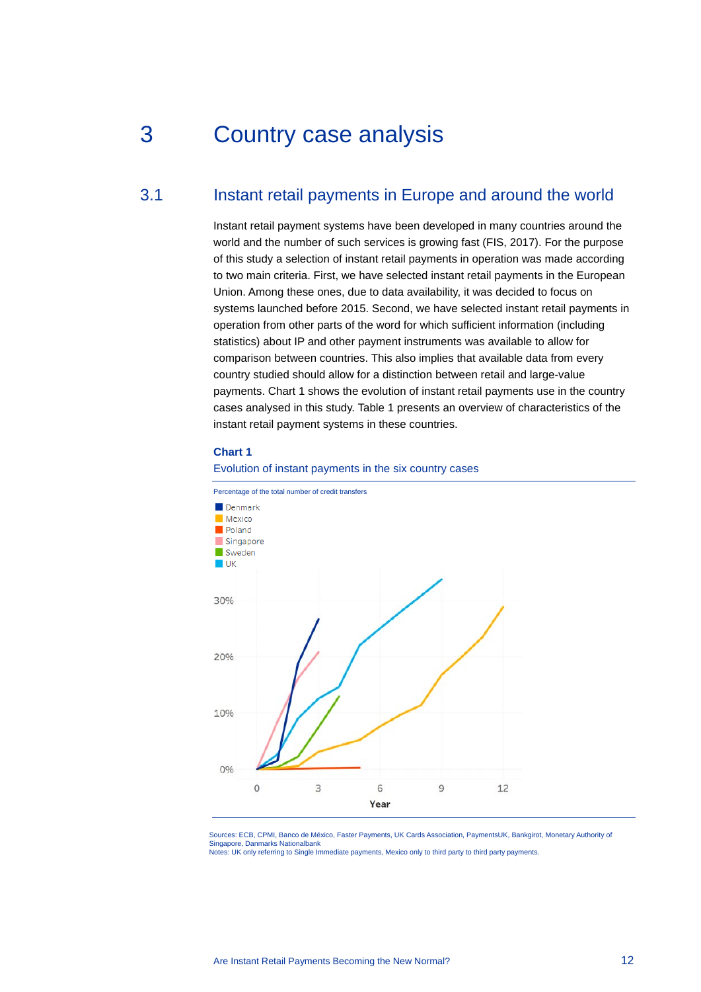## <span id="page-12-0"></span>3 Country case analysis

## 3.1 Instant retail payments in Europe and around the world

<span id="page-12-1"></span>Instant retail payment systems have been developed in many countries around the world and the number of such services is growing fast (FIS, 2017). For the purpose of this study a selection of instant retail payments in operation was made according to two main criteria. First, we have selected instant retail payments in the European Union. Among these ones, due to data availability, it was decided to focus on systems launched before 2015. Second, we have selected instant retail payments in operation from other parts of the word for which sufficient information (including statistics) about IP and other payment instruments was available to allow for comparison between countries. This also implies that available data from every country studied should allow for a distinction between retail and large-value payments. Chart 1 shows the evolution of instant retail payments use in the country cases analysed in this study. Table 1 presents an overview of characteristics of the instant retail payment systems in these countries.

#### **Chart 1**

#### Evolution of instant payments in the six country cases



Sources: ECB, CPMI, Banco de México, Faster Payments, UK Cards Association, PaymentsUK, Bankgirot, Monetary Authority of Singapore, Danmarks Nationalbank Notes: UK only referring to Single Immediate payments, Mexico only to third party to third party payments.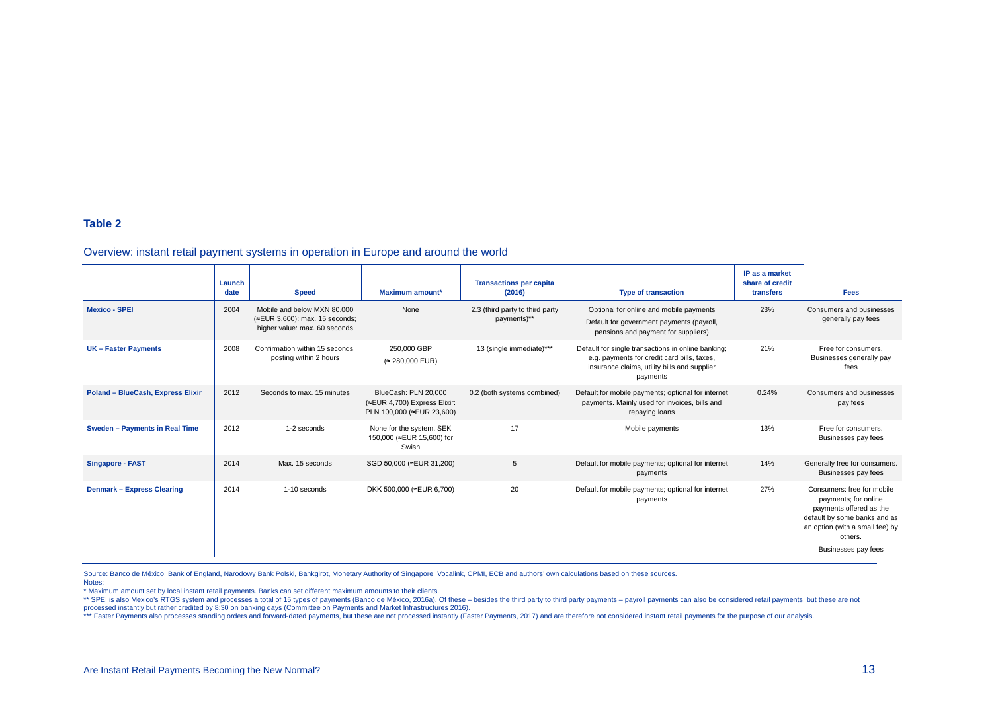#### **Table 2**

#### Overview: instant retail payment systems in operation in Europe and around the world

|                                   | Launch<br>date | <b>Speed</b>                                                                                   | Maximum amount*                                                                   | <b>Transactions per capita</b><br>(2016)       | <b>Type of transaction</b>                                                                                                                                    | IP as a market<br>share of credit<br>transfers | <b>Fees</b>                                                                                                                                                                        |
|-----------------------------------|----------------|------------------------------------------------------------------------------------------------|-----------------------------------------------------------------------------------|------------------------------------------------|---------------------------------------------------------------------------------------------------------------------------------------------------------------|------------------------------------------------|------------------------------------------------------------------------------------------------------------------------------------------------------------------------------------|
| <b>Mexico - SPEI</b>              | 2004           | Mobile and below MXN 80,000<br>(≈EUR 3,600): max. 15 seconds;<br>higher value: max. 60 seconds | None                                                                              | 2.3 (third party to third party<br>payments)** | Optional for online and mobile payments<br>Default for government payments (payroll,<br>pensions and payment for suppliers)                                   | 23%                                            | Consumers and businesses<br>generally pay fees                                                                                                                                     |
| <b>UK-Faster Payments</b>         | 2008           | Confirmation within 15 seconds.<br>posting within 2 hours                                      | 250,000 GBP<br>(≈ 280,000 EUR)                                                    | 13 (single immediate)***                       | Default for single transactions in online banking;<br>e.g. payments for credit card bills, taxes,<br>insurance claims, utility bills and supplier<br>payments | 21%                                            | Free for consumers.<br>Businesses generally pay<br>fees                                                                                                                            |
| Poland - BlueCash, Express Elixir | 2012           | Seconds to max, 15 minutes                                                                     | BlueCash: PLN 20.000<br>(≈EUR 4,700) Express Elixir:<br>PLN 100,000 (≈EUR 23,600) | 0.2 (both systems combined)                    | Default for mobile payments; optional for internet<br>payments. Mainly used for invoices, bills and<br>repaying loans                                         | 0.24%                                          | Consumers and businesses<br>pay fees                                                                                                                                               |
| Sweden - Payments in Real Time    | 2012           | 1-2 seconds                                                                                    | None for the system. SEK<br>150,000 (≈EUR 15,600) for<br>Swish                    | 17                                             | Mobile payments                                                                                                                                               | 13%                                            | Free for consumers.<br>Businesses pay fees                                                                                                                                         |
| <b>Singapore - FAST</b>           | 2014           | Max. 15 seconds                                                                                | SGD 50,000 (≈EUR 31,200)                                                          | 5                                              | Default for mobile payments; optional for internet<br>payments                                                                                                | 14%                                            | Generally free for consumers.<br>Businesses pay fees                                                                                                                               |
| Denmark - Express Clearing        | 2014           | 1-10 seconds                                                                                   | DKK 500,000 (≈EUR 6,700)                                                          | 20                                             | Default for mobile payments; optional for internet<br>payments                                                                                                | 27%                                            | Consumers: free for mobile<br>payments; for online<br>payments offered as the<br>default by some banks and as<br>an option (with a small fee) by<br>others.<br>Businesses pay fees |

Source: Banco de México, Bank of England, Narodowy Bank Polski, Bankgirot, Monetary Authority of Singapore, Vocalink, CPMI, ECB and authors' own calculations based on these sources. Notes:

\* Maximum amount set by local instant retail payments. Banks can set different maximum amounts to their clients.

A SPEL is also Mexico's RTGS system and processes a total of 15 types of payments. Canco de México, 2016a). Of these - besides the third party to third party payments - payroll payments can also be considered retail paymen

processed instantly but rather credited by 8:30 on banking days (Committee on Payments and Market Infrastructures 2016).<br>\*\*\* Faster Payments also processes standing orders and forward-dated payments, but these are not proc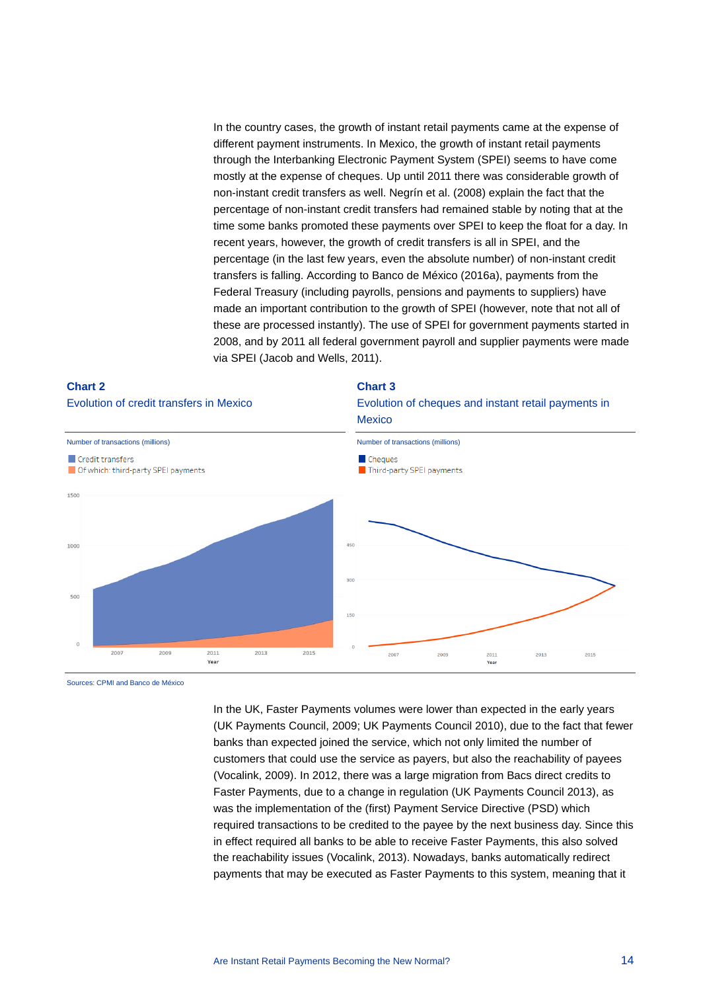In the country cases, the growth of instant retail payments came at the expense of different payment instruments. In Mexico, the growth of instant retail payments through the Interbanking Electronic Payment System (SPEI) seems to have come mostly at the expense of cheques. Up until 2011 there was considerable growth of non-instant credit transfers as well. Negrín et al. (2008) explain the fact that the percentage of non-instant credit transfers had remained stable by noting that at the time some banks promoted these payments over SPEI to keep the float for a day. In recent years, however, the growth of credit transfers is all in SPEI, and the percentage (in the last few years, even the absolute number) of non-instant credit transfers is falling. According to Banco de México (2016a), payments from the Federal Treasury (including payrolls, pensions and payments to suppliers) have made an important contribution to the growth of SPEI (however, note that not all of these are processed instantly). The use of SPEI for government payments started in 2008, and by 2011 all federal government payroll and supplier payments were made via SPEI (Jacob and Wells, 2011).

#### **Chart 3** Evolution of credit transfers in Mexico Evolution of cheques and instant retail payments in **Mexico** Number of transactions (millions)Number of transactions (millions) Credit transfers Cheques Of which: third-party SPEI payments Third-party SPEI payments  $1500$ 1000 500  $2007$ 2009 2011 2013 2015 2007 2009 2011 2013 2015 **Year** Year

**Chart 2**

#### Sources: CPMI and Banco de México

In the UK, Faster Payments volumes were lower than expected in the early years (UK Payments Council, 2009; UK Payments Council 2010), due to the fact that fewer banks than expected joined the service, which not only limited the number of customers that could use the service as payers, but also the reachability of payees (Vocalink, 2009). In 2012, there was a large migration from Bacs direct credits to Faster Payments, due to a change in regulation (UK Payments Council 2013), as was the implementation of the (first) Payment Service Directive (PSD) which required transactions to be credited to the payee by the next business day. Since this in effect required all banks to be able to receive Faster Payments, this also solved the reachability issues (Vocalink, 2013). Nowadays, banks automatically redirect payments that may be executed as Faster Payments to this system, meaning that it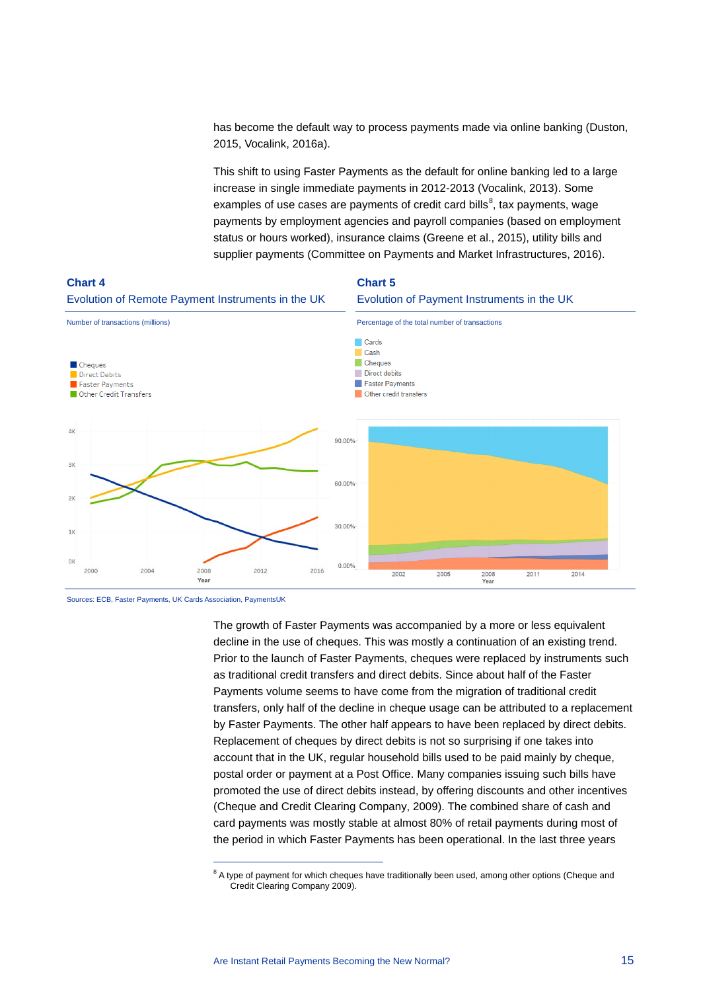has become the default way to process payments made via online banking (Duston, 2015, Vocalink, 2016a).

This shift to using Faster Payments as the default for online banking led to a large increase in single immediate payments in 2012-2013 (Vocalink, 2013). Some examples of use cases are payments of credit card bills $^8$  $^8$ , tax payments, wage payments by employment agencies and payroll companies (based on employment status or hours worked), insurance claims (Greene et al., 2015), utility bills and supplier payments (Committee on Payments and Market Infrastructures, 2016).



Sources: ECB, Faster Payments, UK Cards Association, PaymentsUK

 $\overline{a}$ 

The growth of Faster Payments was accompanied by a more or less equivalent decline in the use of cheques. This was mostly a continuation of an existing trend. Prior to the launch of Faster Payments, cheques were replaced by instruments such as traditional credit transfers and direct debits. Since about half of the Faster Payments volume seems to have come from the migration of traditional credit transfers, only half of the decline in cheque usage can be attributed to a replacement by Faster Payments. The other half appears to have been replaced by direct debits. Replacement of cheques by direct debits is not so surprising if one takes into account that in the UK, regular household bills used to be paid mainly by cheque, postal order or payment at a Post Office. Many companies issuing such bills have promoted the use of direct debits instead, by offering discounts and other incentives (Cheque and Credit Clearing Company, 2009). The combined share of cash and card payments was mostly stable at almost 80% of retail payments during most of the period in which Faster Payments has been operational. In the last three years

<span id="page-15-0"></span> $8$  A type of payment for which cheques have traditionally been used, among other options (Cheque and Credit Clearing Company 2009).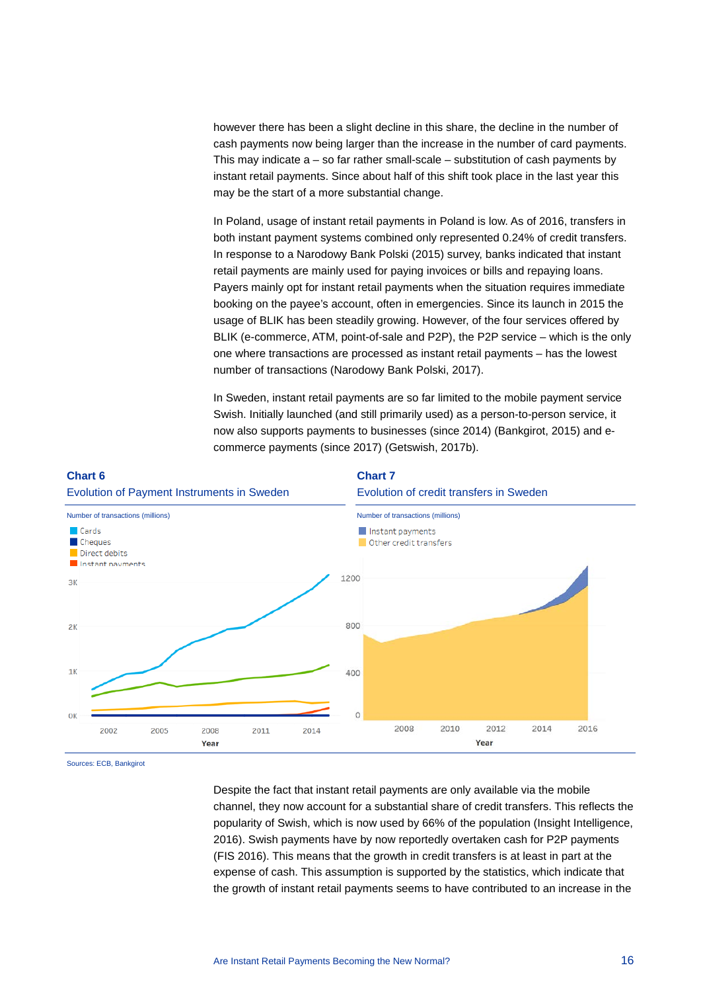however there has been a slight decline in this share, the decline in the number of cash payments now being larger than the increase in the number of card payments. This may indicate a – so far rather small-scale – substitution of cash payments by instant retail payments. Since about half of this shift took place in the last year this may be the start of a more substantial change.

In Poland, usage of instant retail payments in Poland is low. As of 2016, transfers in both instant payment systems combined only represented 0.24% of credit transfers. In response to a Narodowy Bank Polski (2015) survey, banks indicated that instant retail payments are mainly used for paying invoices or bills and repaying loans. Payers mainly opt for instant retail payments when the situation requires immediate booking on the payee's account, often in emergencies. Since its launch in 2015 the usage of BLIK has been steadily growing. However, of the four services offered by BLIK (e-commerce, ATM, point-of-sale and P2P), the P2P service – which is the only one where transactions are processed as instant retail payments – has the lowest number of transactions (Narodowy Bank Polski, 2017).

In Sweden, instant retail payments are so far limited to the mobile payment service Swish. Initially launched (and still primarily used) as a person-to-person service, it now also supports payments to businesses (since 2014) (Bankgirot, 2015) and ecommerce payments (since 2017) (Getswish, 2017b).



Sources: ECB, Bankgirot

Despite the fact that instant retail payments are only available via the mobile channel, they now account for a substantial share of credit transfers. This reflects the popularity of Swish, which is now used by 66% of the population (Insight Intelligence, 2016). Swish payments have by now reportedly overtaken cash for P2P payments (FIS 2016). This means that the growth in credit transfers is at least in part at the expense of cash. This assumption is supported by the statistics, which indicate that the growth of instant retail payments seems to have contributed to an increase in the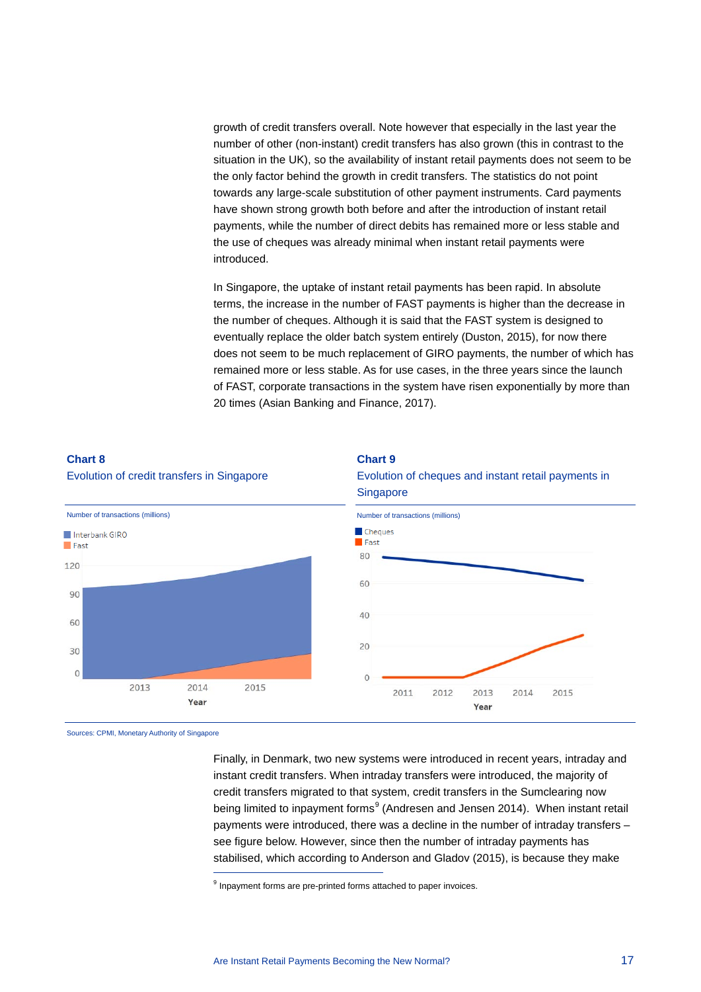growth of credit transfers overall. Note however that especially in the last year the number of other (non-instant) credit transfers has also grown (this in contrast to the situation in the UK), so the availability of instant retail payments does not seem to be the only factor behind the growth in credit transfers. The statistics do not point towards any large-scale substitution of other payment instruments. Card payments have shown strong growth both before and after the introduction of instant retail payments, while the number of direct debits has remained more or less stable and the use of cheques was already minimal when instant retail payments were introduced.

In Singapore, the uptake of instant retail payments has been rapid. In absolute terms, the increase in the number of FAST payments is higher than the decrease in the number of cheques. Although it is said that the FAST system is designed to eventually replace the older batch system entirely (Duston, 2015), for now there does not seem to be much replacement of GIRO payments, the number of which has remained more or less stable. As for use cases, in the three years since the launch of FAST, corporate transactions in the system have risen exponentially by more than 20 times (Asian Banking and Finance, 2017).



# **Chart 8**

<span id="page-17-0"></span>Sources: CPMI, Monetary Authority of Singapore

 $\overline{a}$ 

Finally, in Denmark, two new systems were introduced in recent years, intraday and instant credit transfers. When intraday transfers were introduced, the majority of credit transfers migrated to that system, credit transfers in the Sumclearing now being limited to inpayment forms<sup>[9](#page-17-0)</sup> (Andresen and Jensen 2014). When instant retail payments were introduced, there was a decline in the number of intraday transfers – see figure below. However, since then the number of intraday payments has stabilised, which according to Anderson and Gladov (2015), is because they make

<sup>9</sup> Inpayment forms are pre-printed forms attached to paper invoices.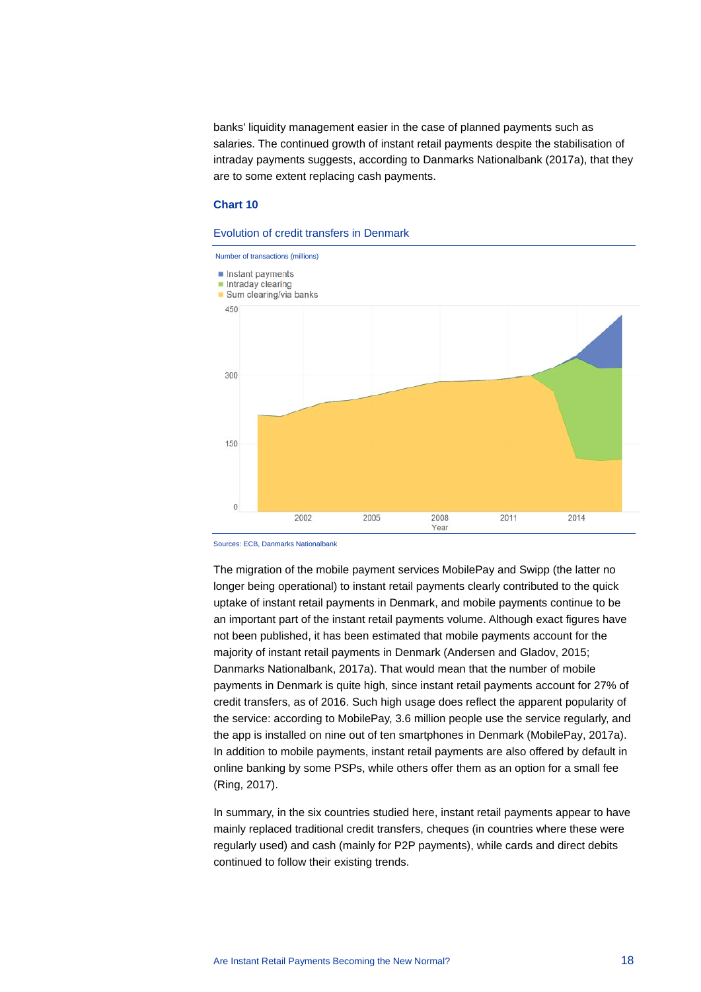banks' liquidity management easier in the case of planned payments such as salaries. The continued growth of instant retail payments despite the stabilisation of intraday payments suggests, according to Danmarks Nationalbank (2017a), that they are to some extent replacing cash payments.

#### **Chart 10**

#### Evolution of credit transfers in Denmark



Sources: ECB, Danmarks Nationalbank

The migration of the mobile payment services MobilePay and Swipp (the latter no longer being operational) to instant retail payments clearly contributed to the quick uptake of instant retail payments in Denmark, and mobile payments continue to be an important part of the instant retail payments volume. Although exact figures have not been published, it has been estimated that mobile payments account for the majority of instant retail payments in Denmark (Andersen and Gladov, 2015; Danmarks Nationalbank, 2017a). That would mean that the number of mobile payments in Denmark is quite high, since instant retail payments account for 27% of credit transfers, as of 2016. Such high usage does reflect the apparent popularity of the service: according to MobilePay, 3.6 million people use the service regularly, and the app is installed on nine out of ten smartphones in Denmark (MobilePay, 2017a). In addition to mobile payments, instant retail payments are also offered by default in online banking by some PSPs, while others offer them as an option for a small fee (Ring, 2017).

In summary, in the six countries studied here, instant retail payments appear to have mainly replaced traditional credit transfers, cheques (in countries where these were regularly used) and cash (mainly for P2P payments), while cards and direct debits continued to follow their existing trends.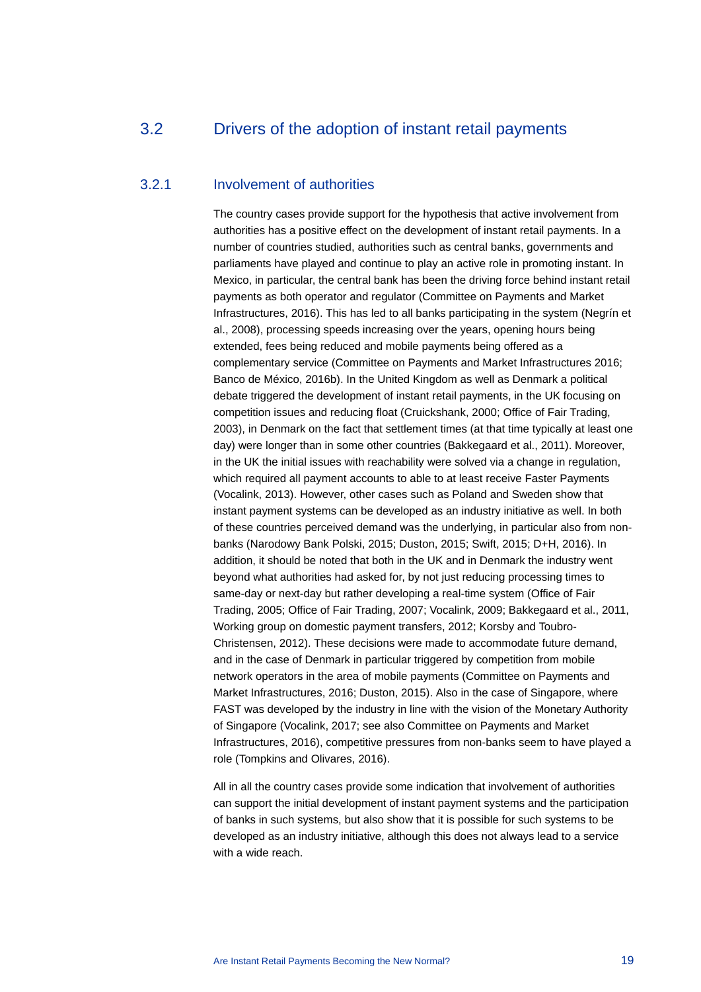## <span id="page-19-0"></span>3.2 Drivers of the adoption of instant retail payments

## 3.2.1 Involvement of authorities

The country cases provide support for the hypothesis that active involvement from authorities has a positive effect on the development of instant retail payments. In a number of countries studied, authorities such as central banks, governments and parliaments have played and continue to play an active role in promoting instant. In Mexico, in particular, the central bank has been the driving force behind instant retail payments as both operator and regulator (Committee on Payments and Market Infrastructures, 2016). This has led to all banks participating in the system (Negrín et al., 2008), processing speeds increasing over the years, opening hours being extended, fees being reduced and mobile payments being offered as a complementary service (Committee on Payments and Market Infrastructures 2016; Banco de México, 2016b). In the United Kingdom as well as Denmark a political debate triggered the development of instant retail payments, in the UK focusing on competition issues and reducing float (Cruickshank, 2000; Office of Fair Trading, 2003), in Denmark on the fact that settlement times (at that time typically at least one day) were longer than in some other countries (Bakkegaard et al., 2011). Moreover, in the UK the initial issues with reachability were solved via a change in regulation, which required all payment accounts to able to at least receive Faster Payments (Vocalink, 2013). However, other cases such as Poland and Sweden show that instant payment systems can be developed as an industry initiative as well. In both of these countries perceived demand was the underlying, in particular also from nonbanks (Narodowy Bank Polski, 2015; Duston, 2015; Swift, 2015; D+H, 2016). In addition, it should be noted that both in the UK and in Denmark the industry went beyond what authorities had asked for, by not just reducing processing times to same-day or next-day but rather developing a real-time system (Office of Fair Trading, 2005; Office of Fair Trading, 2007; Vocalink, 2009; Bakkegaard et al., 2011, Working group on domestic payment transfers, 2012; Korsby and Toubro-Christensen, 2012). These decisions were made to accommodate future demand, and in the case of Denmark in particular triggered by competition from mobile network operators in the area of mobile payments (Committee on Payments and Market Infrastructures, 2016; Duston, 2015). Also in the case of Singapore, where FAST was developed by the industry in line with the vision of the Monetary Authority of Singapore (Vocalink, 2017; see also Committee on Payments and Market Infrastructures, 2016), competitive pressures from non-banks seem to have played a role (Tompkins and Olivares, 2016).

All in all the country cases provide some indication that involvement of authorities can support the initial development of instant payment systems and the participation of banks in such systems, but also show that it is possible for such systems to be developed as an industry initiative, although this does not always lead to a service with a wide reach.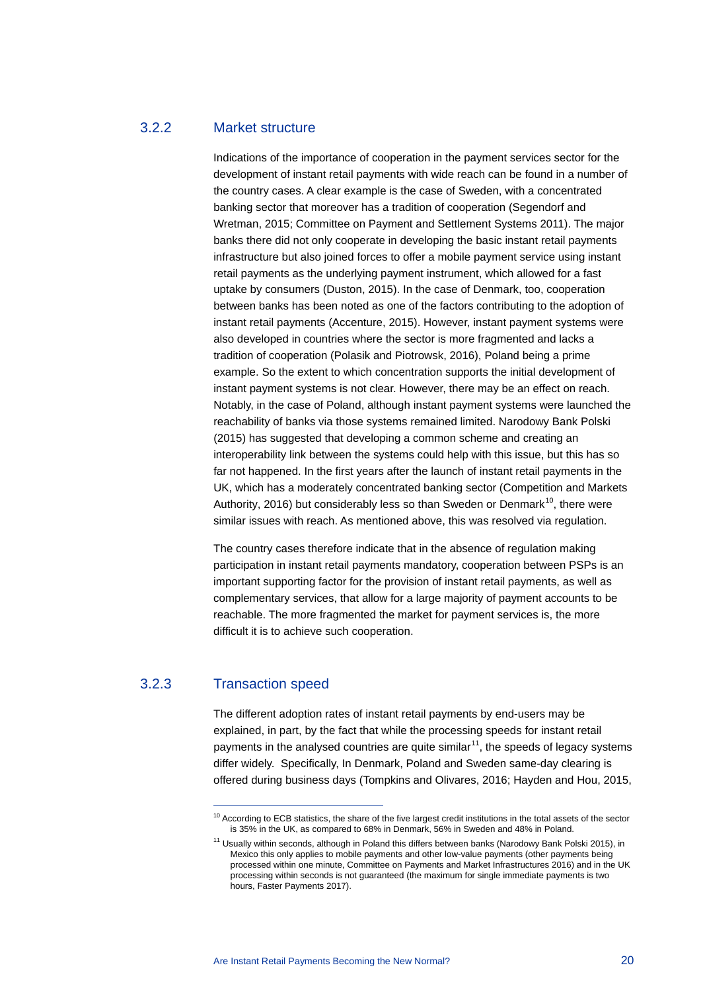## 3.2.2 Market structure

Indications of the importance of cooperation in the payment services sector for the development of instant retail payments with wide reach can be found in a number of the country cases. A clear example is the case of Sweden, with a concentrated banking sector that moreover has a tradition of cooperation (Segendorf and Wretman, 2015; Committee on Payment and Settlement Systems 2011). The major banks there did not only cooperate in developing the basic instant retail payments infrastructure but also joined forces to offer a mobile payment service using instant retail payments as the underlying payment instrument, which allowed for a fast uptake by consumers (Duston, 2015). In the case of Denmark, too, cooperation between banks has been noted as one of the factors contributing to the adoption of instant retail payments (Accenture, 2015). However, instant payment systems were also developed in countries where the sector is more fragmented and lacks a tradition of cooperation (Polasik and Piotrowsk, 2016), Poland being a prime example. So the extent to which concentration supports the initial development of instant payment systems is not clear. However, there may be an effect on reach. Notably, in the case of Poland, although instant payment systems were launched the reachability of banks via those systems remained limited. Narodowy Bank Polski (2015) has suggested that developing a common scheme and creating an interoperability link between the systems could help with this issue, but this has so far not happened. In the first years after the launch of instant retail payments in the UK, which has a moderately concentrated banking sector (Competition and Markets Authority, 2016) but considerably less so than Sweden or Denmark<sup>[10](#page-20-0)</sup>, there were similar issues with reach. As mentioned above, this was resolved via regulation.

The country cases therefore indicate that in the absence of regulation making participation in instant retail payments mandatory, cooperation between PSPs is an important supporting factor for the provision of instant retail payments, as well as complementary services, that allow for a large majority of payment accounts to be reachable. The more fragmented the market for payment services is, the more difficult it is to achieve such cooperation.

### <span id="page-20-1"></span><span id="page-20-0"></span>3.2.3 Transaction speed

 $\overline{a}$ 

The different adoption rates of instant retail payments by end-users may be explained, in part, by the fact that while the processing speeds for instant retail payments in the analysed countries are quite similar<sup>[11](#page-20-1)</sup>, the speeds of legacy systems differ widely. Specifically, In Denmark, Poland and Sweden same-day clearing is offered during business days (Tompkins and Olivares, 2016; Hayden and Hou, 2015,

<sup>&</sup>lt;sup>10</sup> According to ECB statistics, the share of the five largest credit institutions in the total assets of the sector is 35% in the UK, as compared to 68% in Denmark, 56% in Sweden and 48% in Poland.

<sup>&</sup>lt;sup>11</sup> Usually within seconds, although in Poland this differs between banks (Narodowy Bank Polski 2015), in Mexico this only applies to mobile payments and other low-value payments (other payments being processed within one minute, Committee on Payments and Market Infrastructures 2016) and in the UK processing within seconds is not guaranteed (the maximum for single immediate payments is two hours, Faster Payments 2017).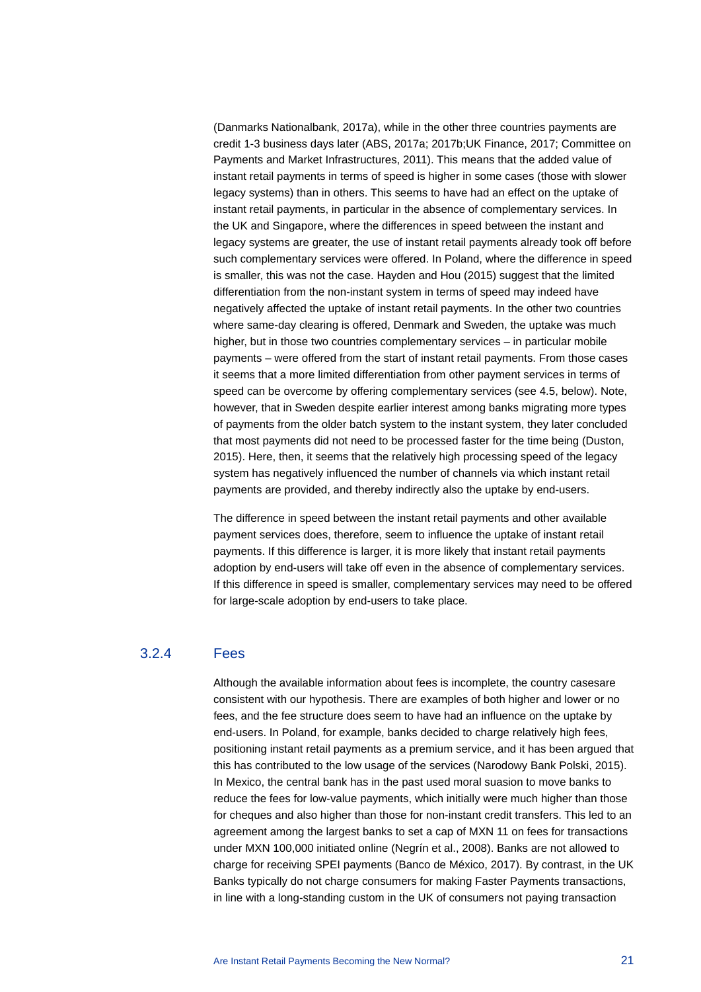(Danmarks Nationalbank, 2017a), while in the other three countries payments are credit 1-3 business days later (ABS, 2017a; 2017b;UK Finance, 2017; Committee on Payments and Market Infrastructures, 2011). This means that the added value of instant retail payments in terms of speed is higher in some cases (those with slower legacy systems) than in others. This seems to have had an effect on the uptake of instant retail payments, in particular in the absence of complementary services. In the UK and Singapore, where the differences in speed between the instant and legacy systems are greater, the use of instant retail payments already took off before such complementary services were offered. In Poland, where the difference in speed is smaller, this was not the case. Hayden and Hou (2015) suggest that the limited differentiation from the non-instant system in terms of speed may indeed have negatively affected the uptake of instant retail payments. In the other two countries where same-day clearing is offered, Denmark and Sweden, the uptake was much higher, but in those two countries complementary services – in particular mobile payments – were offered from the start of instant retail payments. From those cases it seems that a more limited differentiation from other payment services in terms of speed can be overcome by offering complementary services (see 4.5, below). Note, however, that in Sweden despite earlier interest among banks migrating more types of payments from the older batch system to the instant system, they later concluded that most payments did not need to be processed faster for the time being (Duston, 2015). Here, then, it seems that the relatively high processing speed of the legacy system has negatively influenced the number of channels via which instant retail payments are provided, and thereby indirectly also the uptake by end-users.

The difference in speed between the instant retail payments and other available payment services does, therefore, seem to influence the uptake of instant retail payments. If this difference is larger, it is more likely that instant retail payments adoption by end-users will take off even in the absence of complementary services. If this difference in speed is smaller, complementary services may need to be offered for large-scale adoption by end-users to take place.

## 3.2.4 Fees

Although the available information about fees is incomplete, the country casesare consistent with our hypothesis. There are examples of both higher and lower or no fees, and the fee structure does seem to have had an influence on the uptake by end-users. In Poland, for example, banks decided to charge relatively high fees, positioning instant retail payments as a premium service, and it has been argued that this has contributed to the low usage of the services (Narodowy Bank Polski, 2015). In Mexico, the central bank has in the past used moral suasion to move banks to reduce the fees for low-value payments, which initially were much higher than those for cheques and also higher than those for non-instant credit transfers. This led to an agreement among the largest banks to set a cap of MXN 11 on fees for transactions under MXN 100,000 initiated online (Negrín et al., 2008). Banks are not allowed to charge for receiving SPEI payments (Banco de México, 2017). By contrast, in the UK Banks typically do not charge consumers for making Faster Payments transactions, in line with a long-standing custom in the UK of consumers not paying transaction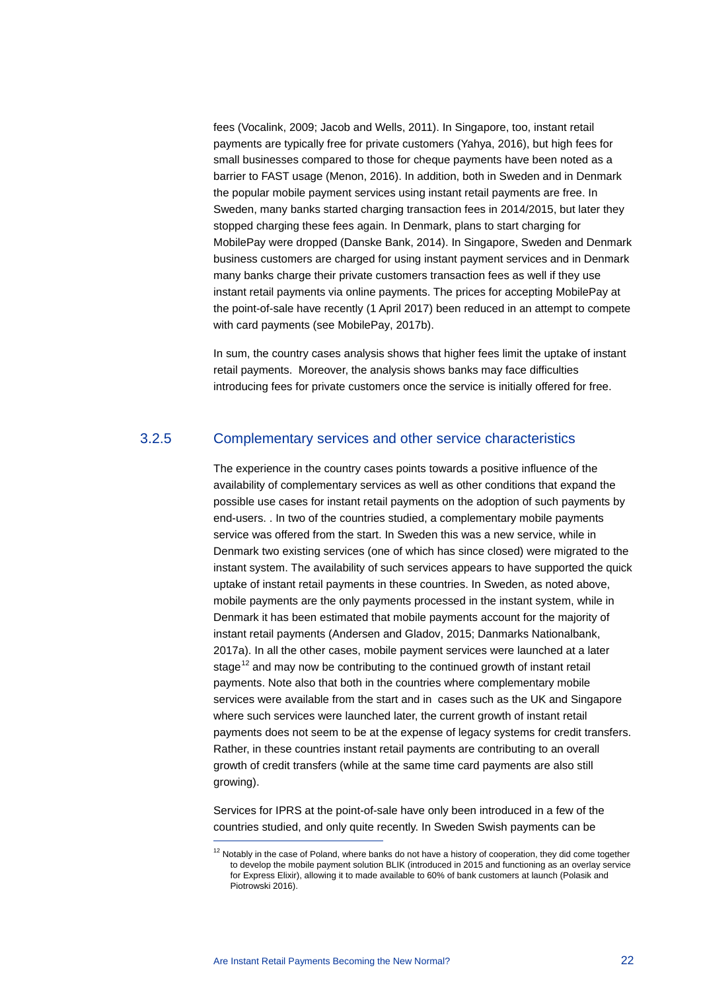fees (Vocalink, 2009; Jacob and Wells, 2011). In Singapore, too, instant retail payments are typically free for private customers (Yahya, 2016), but high fees for small businesses compared to those for cheque payments have been noted as a barrier to FAST usage (Menon, 2016). In addition, both in Sweden and in Denmark the popular mobile payment services using instant retail payments are free. In Sweden, many banks started charging transaction fees in 2014/2015, but later they stopped charging these fees again. In Denmark, plans to start charging for MobilePay were dropped (Danske Bank, 2014). In Singapore, Sweden and Denmark business customers are charged for using instant payment services and in Denmark many banks charge their private customers transaction fees as well if they use instant retail payments via online payments. The prices for accepting MobilePay at the point-of-sale have recently (1 April 2017) been reduced in an attempt to compete with card payments (see MobilePay, 2017b).

In sum, the country cases analysis shows that higher fees limit the uptake of instant retail payments. Moreover, the analysis shows banks may face difficulties introducing fees for private customers once the service is initially offered for free.

#### 3.2.5 Complementary services and other service characteristics

The experience in the country cases points towards a positive influence of the availability of complementary services as well as other conditions that expand the possible use cases for instant retail payments on the adoption of such payments by end-users. . In two of the countries studied, a complementary mobile payments service was offered from the start. In Sweden this was a new service, while in Denmark two existing services (one of which has since closed) were migrated to the instant system. The availability of such services appears to have supported the quick uptake of instant retail payments in these countries. In Sweden, as noted above, mobile payments are the only payments processed in the instant system, while in Denmark it has been estimated that mobile payments account for the majority of instant retail payments (Andersen and Gladov, 2015; Danmarks Nationalbank, 2017a). In all the other cases, mobile payment services were launched at a later stage<sup>[12](#page-22-0)</sup> and may now be contributing to the continued growth of instant retail payments. Note also that both in the countries where complementary mobile services were available from the start and in cases such as the UK and Singapore where such services were launched later, the current growth of instant retail payments does not seem to be at the expense of legacy systems for credit transfers. Rather, in these countries instant retail payments are contributing to an overall growth of credit transfers (while at the same time card payments are also still growing).

Services for IPRS at the point-of-sale have only been introduced in a few of the countries studied, and only quite recently. In Sweden Swish payments can be

 $\overline{a}$ 

<span id="page-22-0"></span> $12$  Notably in the case of Poland, where banks do not have a history of cooperation, they did come together to develop the mobile payment solution BLIK (introduced in 2015 and functioning as an overlay service for Express Elixir), allowing it to made available to 60% of bank customers at launch (Polasik and Piotrowski 2016).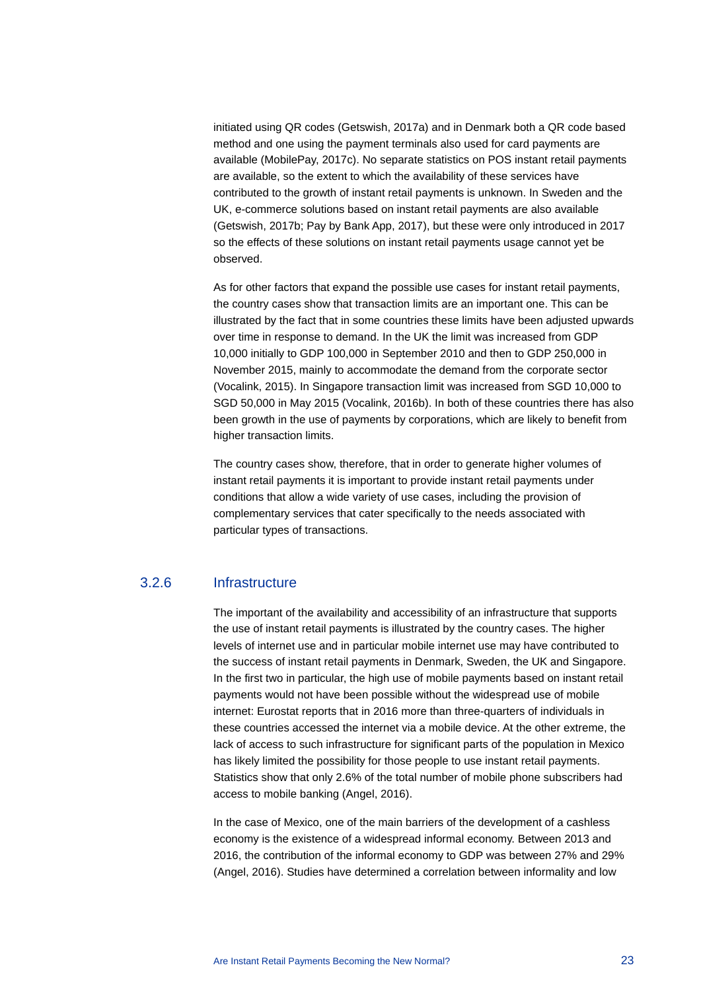initiated using QR codes (Getswish, 2017a) and in Denmark both a QR code based method and one using the payment terminals also used for card payments are available (MobilePay, 2017c). No separate statistics on POS instant retail payments are available, so the extent to which the availability of these services have contributed to the growth of instant retail payments is unknown. In Sweden and the UK, e-commerce solutions based on instant retail payments are also available (Getswish, 2017b; Pay by Bank App, 2017), but these were only introduced in 2017 so the effects of these solutions on instant retail payments usage cannot yet be observed.

As for other factors that expand the possible use cases for instant retail payments, the country cases show that transaction limits are an important one. This can be illustrated by the fact that in some countries these limits have been adjusted upwards over time in response to demand. In the UK the limit was increased from GDP 10,000 initially to GDP 100,000 in September 2010 and then to GDP 250,000 in November 2015, mainly to accommodate the demand from the corporate sector (Vocalink, 2015). In Singapore transaction limit was increased from SGD 10,000 to SGD 50,000 in May 2015 (Vocalink, 2016b). In both of these countries there has also been growth in the use of payments by corporations, which are likely to benefit from higher transaction limits.

The country cases show, therefore, that in order to generate higher volumes of instant retail payments it is important to provide instant retail payments under conditions that allow a wide variety of use cases, including the provision of complementary services that cater specifically to the needs associated with particular types of transactions.

## 3.2.6 Infrastructure

The important of the availability and accessibility of an infrastructure that supports the use of instant retail payments is illustrated by the country cases. The higher levels of internet use and in particular mobile internet use may have contributed to the success of instant retail payments in Denmark, Sweden, the UK and Singapore. In the first two in particular, the high use of mobile payments based on instant retail payments would not have been possible without the widespread use of mobile internet: Eurostat reports that in 2016 more than three-quarters of individuals in these countries accessed the internet via a mobile device. At the other extreme, the lack of access to such infrastructure for significant parts of the population in Mexico has likely limited the possibility for those people to use instant retail payments. Statistics show that only 2.6% of the total number of mobile phone subscribers had access to mobile banking (Angel, 2016).

In the case of Mexico, one of the main barriers of the development of a cashless economy is the existence of a widespread informal economy. Between 2013 and 2016, the contribution of the informal economy to GDP was between 27% and 29% (Angel, 2016). Studies have determined a correlation between informality and low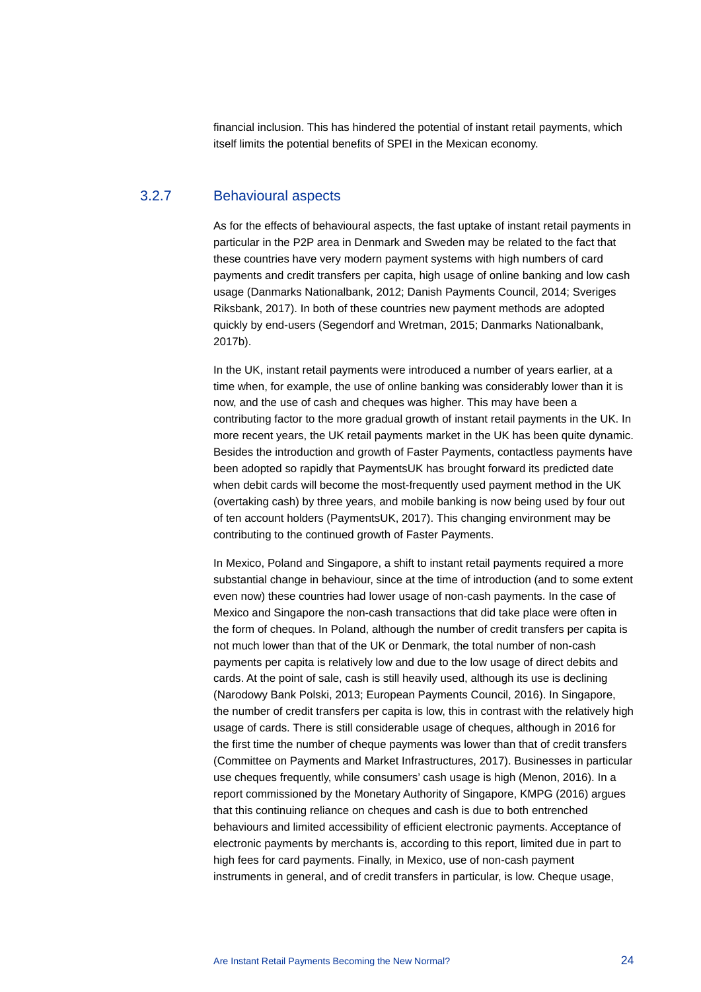financial inclusion. This has hindered the potential of instant retail payments, which itself limits the potential benefits of SPEI in the Mexican economy.

### 3.2.7 Behavioural aspects

As for the effects of behavioural aspects, the fast uptake of instant retail payments in particular in the P2P area in Denmark and Sweden may be related to the fact that these countries have very modern payment systems with high numbers of card payments and credit transfers per capita, high usage of online banking and low cash usage (Danmarks Nationalbank, 2012; Danish Payments Council, 2014; Sveriges Riksbank, 2017). In both of these countries new payment methods are adopted quickly by end-users (Segendorf and Wretman, 2015; Danmarks Nationalbank, 2017b).

In the UK, instant retail payments were introduced a number of years earlier, at a time when, for example, the use of online banking was considerably lower than it is now, and the use of cash and cheques was higher. This may have been a contributing factor to the more gradual growth of instant retail payments in the UK. In more recent years, the UK retail payments market in the UK has been quite dynamic. Besides the introduction and growth of Faster Payments, contactless payments have been adopted so rapidly that PaymentsUK has brought forward its predicted date when debit cards will become the most-frequently used payment method in the UK (overtaking cash) by three years, and mobile banking is now being used by four out of ten account holders (PaymentsUK, 2017). This changing environment may be contributing to the continued growth of Faster Payments.

In Mexico, Poland and Singapore, a shift to instant retail payments required a more substantial change in behaviour, since at the time of introduction (and to some extent even now) these countries had lower usage of non-cash payments. In the case of Mexico and Singapore the non-cash transactions that did take place were often in the form of cheques. In Poland, although the number of credit transfers per capita is not much lower than that of the UK or Denmark, the total number of non-cash payments per capita is relatively low and due to the low usage of direct debits and cards. At the point of sale, cash is still heavily used, although its use is declining (Narodowy Bank Polski, 2013; European Payments Council, 2016). In Singapore, the number of credit transfers per capita is low, this in contrast with the relatively high usage of cards. There is still considerable usage of cheques, although in 2016 for the first time the number of cheque payments was lower than that of credit transfers (Committee on Payments and Market Infrastructures, 2017). Businesses in particular use cheques frequently, while consumers' cash usage is high (Menon, 2016). In a report commissioned by the Monetary Authority of Singapore, KMPG (2016) argues that this continuing reliance on cheques and cash is due to both entrenched behaviours and limited accessibility of efficient electronic payments. Acceptance of electronic payments by merchants is, according to this report, limited due in part to high fees for card payments. Finally, in Mexico, use of non-cash payment instruments in general, and of credit transfers in particular, is low. Cheque usage,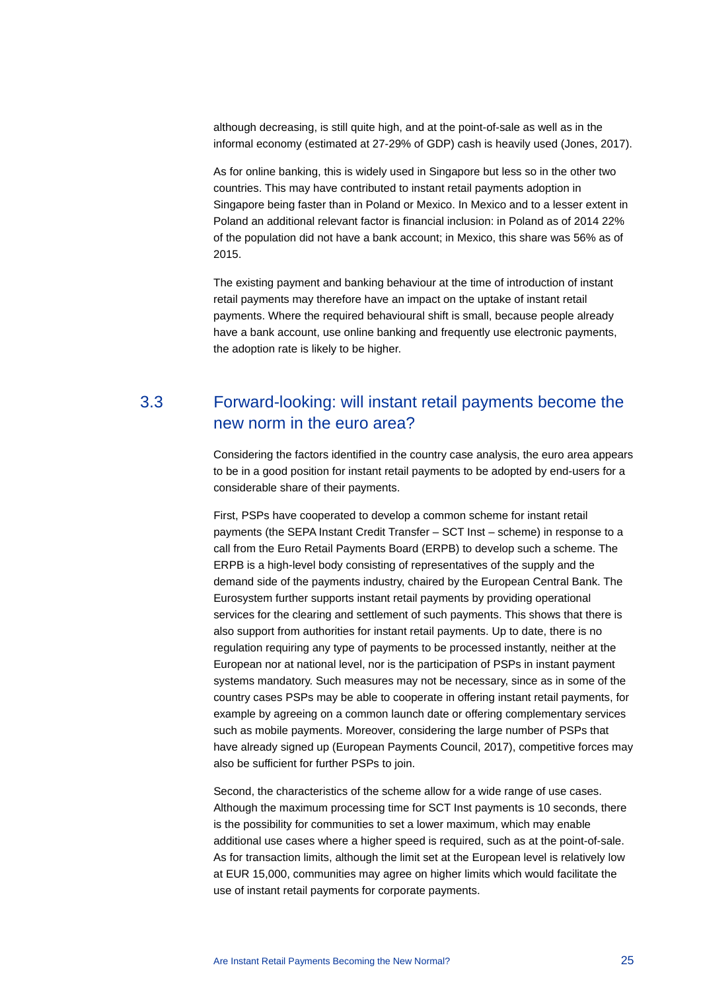although decreasing, is still quite high, and at the point-of-sale as well as in the informal economy (estimated at 27-29% of GDP) cash is heavily used (Jones, 2017).

As for online banking, this is widely used in Singapore but less so in the other two countries. This may have contributed to instant retail payments adoption in Singapore being faster than in Poland or Mexico. In Mexico and to a lesser extent in Poland an additional relevant factor is financial inclusion: in Poland as of 2014 22% of the population did not have a bank account; in Mexico, this share was 56% as of 2015.

The existing payment and banking behaviour at the time of introduction of instant retail payments may therefore have an impact on the uptake of instant retail payments. Where the required behavioural shift is small, because people already have a bank account, use online banking and frequently use electronic payments, the adoption rate is likely to be higher.

## <span id="page-25-0"></span>3.3 Forward-looking: will instant retail payments become the new norm in the euro area?

Considering the factors identified in the country case analysis, the euro area appears to be in a good position for instant retail payments to be adopted by end-users for a considerable share of their payments.

First, PSPs have cooperated to develop a common scheme for instant retail payments (the SEPA Instant Credit Transfer – SCT Inst – scheme) in response to a call from the Euro Retail Payments Board (ERPB) to develop such a scheme. The ERPB is a high-level body consisting of representatives of the supply and the demand side of the payments industry, chaired by the European Central Bank. The Eurosystem further supports instant retail payments by providing operational services for the clearing and settlement of such payments. This shows that there is also support from authorities for instant retail payments. Up to date, there is no regulation requiring any type of payments to be processed instantly, neither at the European nor at national level, nor is the participation of PSPs in instant payment systems mandatory. Such measures may not be necessary, since as in some of the country cases PSPs may be able to cooperate in offering instant retail payments, for example by agreeing on a common launch date or offering complementary services such as mobile payments. Moreover, considering the large number of PSPs that have already signed up (European Payments Council, 2017), competitive forces may also be sufficient for further PSPs to join.

Second, the characteristics of the scheme allow for a wide range of use cases. Although the maximum processing time for SCT Inst payments is 10 seconds, there is the possibility for communities to set a lower maximum, which may enable additional use cases where a higher speed is required, such as at the point-of-sale. As for transaction limits, although the limit set at the European level is relatively low at EUR 15,000, communities may agree on higher limits which would facilitate the use of instant retail payments for corporate payments.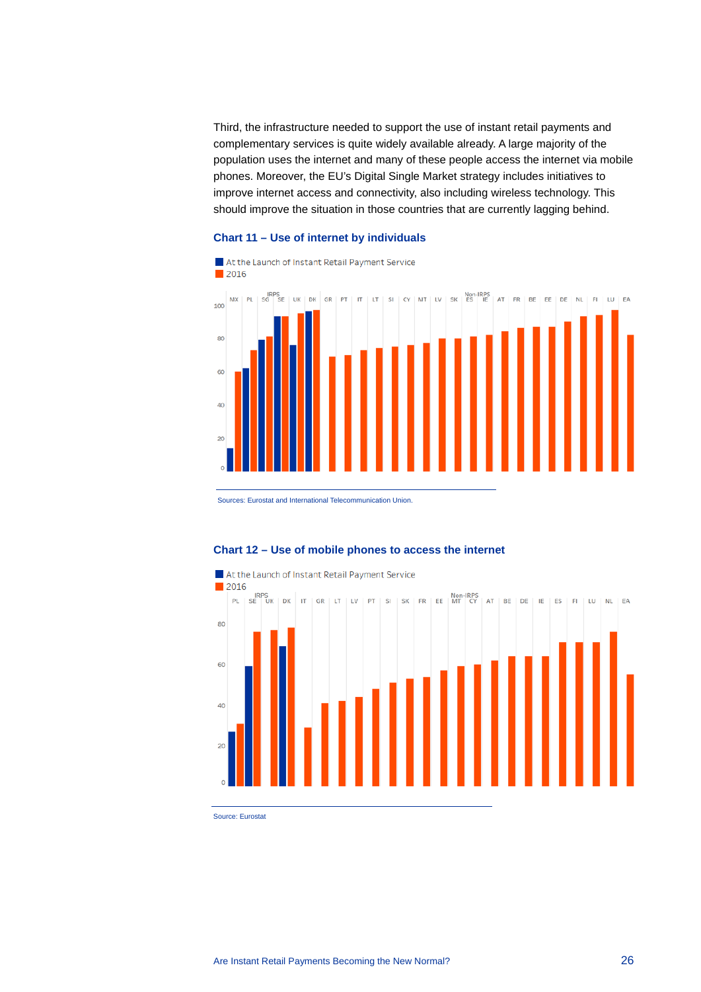Third, the infrastructure needed to support the use of instant retail payments and complementary services is quite widely available already. A large majority of the population uses the internet and many of these people access the internet via mobile phones. Moreover, the EU's Digital Single Market strategy includes initiatives to improve internet access and connectivity, also including wireless technology. This should improve the situation in those countries that are currently lagging behind.

#### **Chart 11 – Use of internet by individuals**



Sources: Eurostat and International Telecommunication Union.



### **Chart 12 – Use of mobile phones to access the internet**

Source: Eurostat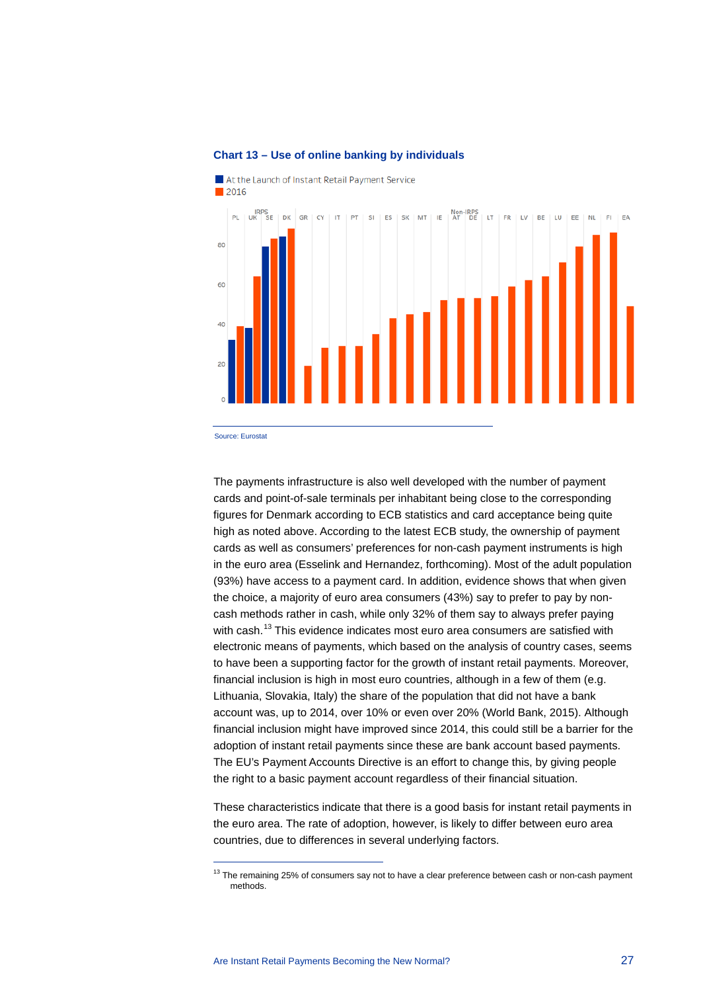

#### **Chart 13 – Use of online banking by individuals**

Source: Eurostat

 $\overline{a}$ 

The payments infrastructure is also well developed with the number of payment cards and point-of-sale terminals per inhabitant being close to the corresponding figures for Denmark according to ECB statistics and card acceptance being quite high as noted above. According to the latest ECB study, the ownership of payment cards as well as consumers' preferences for non-cash payment instruments is high in the euro area (Esselink and Hernandez, forthcoming). Most of the adult population (93%) have access to a payment card. In addition, evidence shows that when given the choice, a majority of euro area consumers (43%) say to prefer to pay by noncash methods rather in cash, while only 32% of them say to always prefer paying with cash.<sup>[13](#page-27-0)</sup> This evidence indicates most euro area consumers are satisfied with electronic means of payments, which based on the analysis of country cases, seems to have been a supporting factor for the growth of instant retail payments. Moreover, financial inclusion is high in most euro countries, although in a few of them (e.g. Lithuania, Slovakia, Italy) the share of the population that did not have a bank account was, up to 2014, over 10% or even over 20% (World Bank, 2015). Although financial inclusion might have improved since 2014, this could still be a barrier for the adoption of instant retail payments since these are bank account based payments. The EU's Payment Accounts Directive is an effort to change this, by giving people the right to a basic payment account regardless of their financial situation.

These characteristics indicate that there is a good basis for instant retail payments in the euro area. The rate of adoption, however, is likely to differ between euro area countries, due to differences in several underlying factors.

<span id="page-27-0"></span> $13$  The remaining 25% of consumers say not to have a clear preference between cash or non-cash payment methods.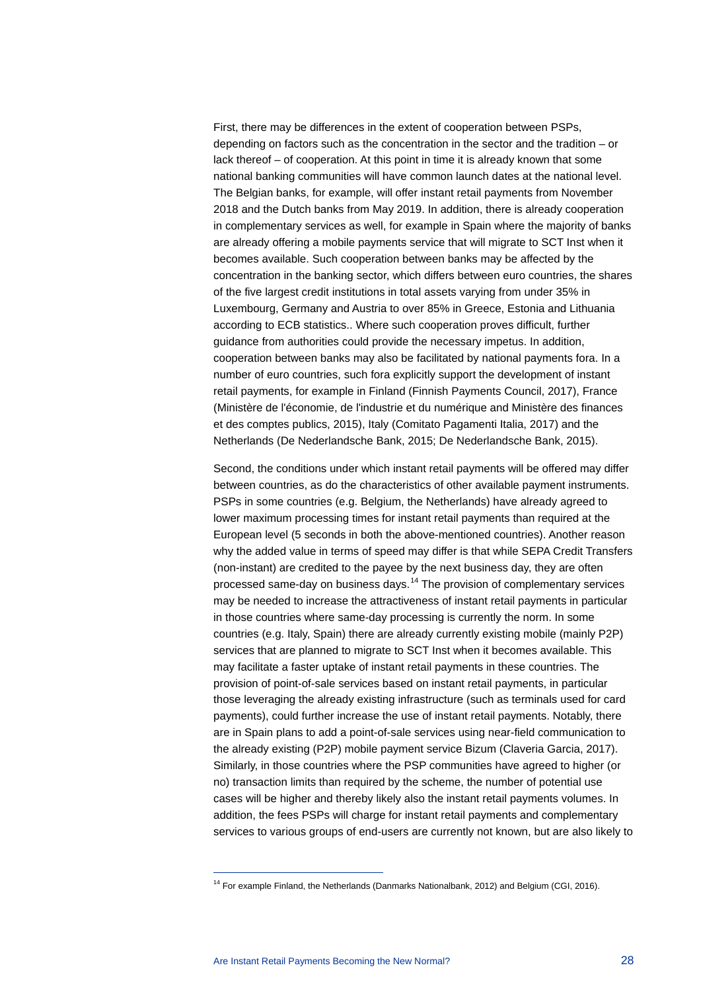First, there may be differences in the extent of cooperation between PSPs, depending on factors such as the concentration in the sector and the tradition – or lack thereof – of cooperation. At this point in time it is already known that some national banking communities will have common launch dates at the national level. The Belgian banks, for example, will offer instant retail payments from November 2018 and the Dutch banks from May 2019. In addition, there is already cooperation in complementary services as well, for example in Spain where the majority of banks are already offering a mobile payments service that will migrate to SCT Inst when it becomes available. Such cooperation between banks may be affected by the concentration in the banking sector, which differs between euro countries, the shares of the five largest credit institutions in total assets varying from under 35% in Luxembourg, Germany and Austria to over 85% in Greece, Estonia and Lithuania according to ECB statistics.. Where such cooperation proves difficult, further guidance from authorities could provide the necessary impetus. In addition, cooperation between banks may also be facilitated by national payments fora. In a number of euro countries, such fora explicitly support the development of instant retail payments, for example in Finland (Finnish Payments Council, 2017), France (Ministère de l'économie, de l'industrie et du numérique and Ministère des finances et des comptes publics, 2015), Italy (Comitato Pagamenti Italia, 2017) and the Netherlands (De Nederlandsche Bank, 2015; De Nederlandsche Bank, 2015).

Second, the conditions under which instant retail payments will be offered may differ between countries, as do the characteristics of other available payment instruments. PSPs in some countries (e.g. Belgium, the Netherlands) have already agreed to lower maximum processing times for instant retail payments than required at the European level (5 seconds in both the above-mentioned countries). Another reason why the added value in terms of speed may differ is that while SEPA Credit Transfers (non-instant) are credited to the payee by the next business day, they are often processed same-day on business days.[14](#page-28-0) The provision of complementary services may be needed to increase the attractiveness of instant retail payments in particular in those countries where same-day processing is currently the norm. In some countries (e.g. Italy, Spain) there are already currently existing mobile (mainly P2P) services that are planned to migrate to SCT Inst when it becomes available. This may facilitate a faster uptake of instant retail payments in these countries. The provision of point-of-sale services based on instant retail payments, in particular those leveraging the already existing infrastructure (such as terminals used for card payments), could further increase the use of instant retail payments. Notably, there are in Spain plans to add a point-of-sale services using near-field communication to the already existing (P2P) mobile payment service Bizum (Claveria Garcia, 2017). Similarly, in those countries where the PSP communities have agreed to higher (or no) transaction limits than required by the scheme, the number of potential use cases will be higher and thereby likely also the instant retail payments volumes. In addition, the fees PSPs will charge for instant retail payments and complementary services to various groups of end-users are currently not known, but are also likely to

 $\overline{a}$ 

<span id="page-28-0"></span><sup>&</sup>lt;sup>14</sup> For example Finland, the Netherlands (Danmarks Nationalbank, 2012) and Belgium (CGI, 2016).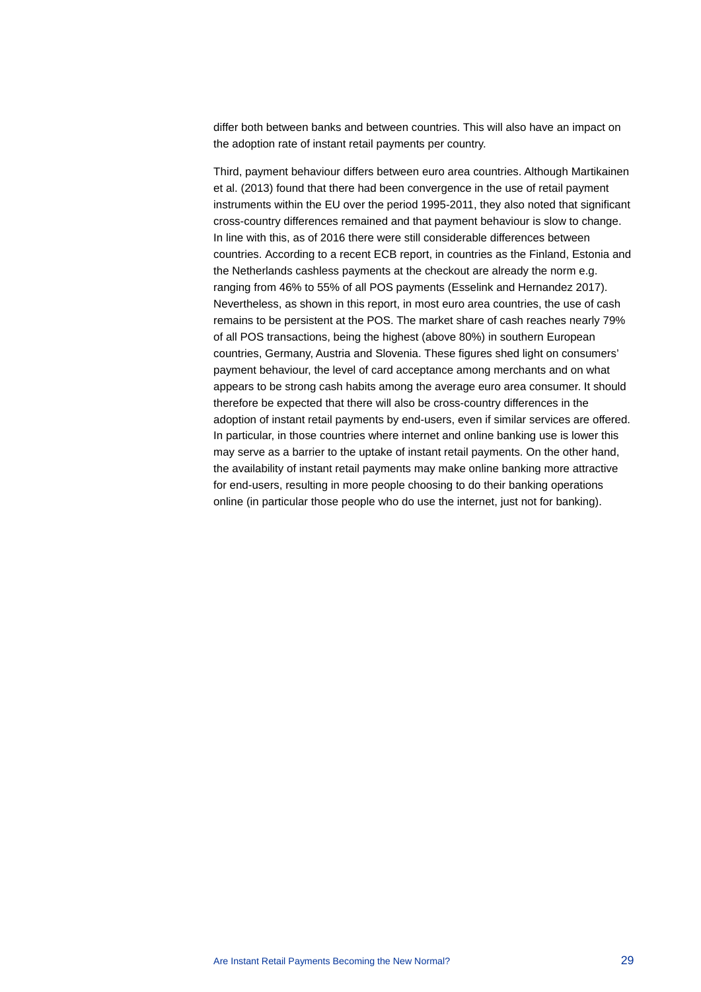differ both between banks and between countries. This will also have an impact on the adoption rate of instant retail payments per country.

Third, payment behaviour differs between euro area countries. Although Martikainen et al. (2013) found that there had been convergence in the use of retail payment instruments within the EU over the period 1995-2011, they also noted that significant cross-country differences remained and that payment behaviour is slow to change. In line with this, as of 2016 there were still considerable differences between countries. According to a recent ECB report, in countries as the Finland, Estonia and the Netherlands cashless payments at the checkout are already the norm e.g. ranging from 46% to 55% of all POS payments (Esselink and Hernandez 2017). Nevertheless, as shown in this report, in most euro area countries, the use of cash remains to be persistent at the POS. The market share of cash reaches nearly 79% of all POS transactions, being the highest (above 80%) in southern European countries, Germany, Austria and Slovenia. These figures shed light on consumers' payment behaviour, the level of card acceptance among merchants and on what appears to be strong cash habits among the average euro area consumer. It should therefore be expected that there will also be cross-country differences in the adoption of instant retail payments by end-users, even if similar services are offered. In particular, in those countries where internet and online banking use is lower this may serve as a barrier to the uptake of instant retail payments. On the other hand, the availability of instant retail payments may make online banking more attractive for end-users, resulting in more people choosing to do their banking operations online (in particular those people who do use the internet, just not for banking).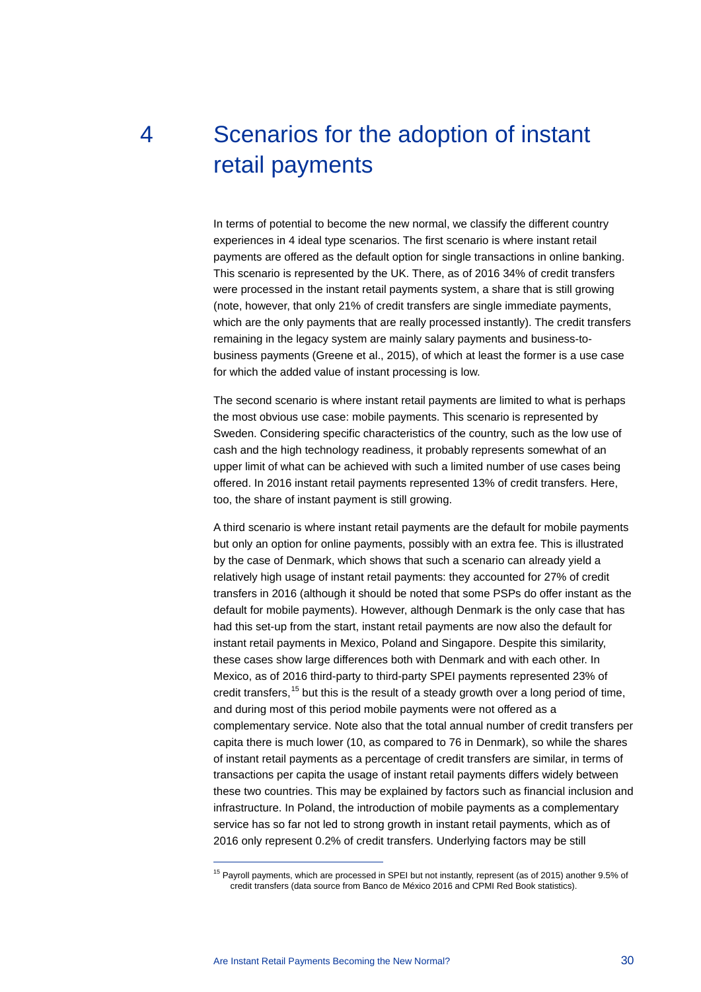# <span id="page-30-0"></span>4 Scenarios for the adoption of instant retail payments

In terms of potential to become the new normal, we classify the different country experiences in 4 ideal type scenarios. The first scenario is where instant retail payments are offered as the default option for single transactions in online banking. This scenario is represented by the UK. There, as of 2016 34% of credit transfers were processed in the instant retail payments system, a share that is still growing (note, however, that only 21% of credit transfers are single immediate payments, which are the only payments that are really processed instantly). The credit transfers remaining in the legacy system are mainly salary payments and business-tobusiness payments (Greene et al., 2015), of which at least the former is a use case for which the added value of instant processing is low.

The second scenario is where instant retail payments are limited to what is perhaps the most obvious use case: mobile payments. This scenario is represented by Sweden. Considering specific characteristics of the country, such as the low use of cash and the high technology readiness, it probably represents somewhat of an upper limit of what can be achieved with such a limited number of use cases being offered. In 2016 instant retail payments represented 13% of credit transfers. Here, too, the share of instant payment is still growing.

A third scenario is where instant retail payments are the default for mobile payments but only an option for online payments, possibly with an extra fee. This is illustrated by the case of Denmark, which shows that such a scenario can already yield a relatively high usage of instant retail payments: they accounted for 27% of credit transfers in 2016 (although it should be noted that some PSPs do offer instant as the default for mobile payments). However, although Denmark is the only case that has had this set-up from the start, instant retail payments are now also the default for instant retail payments in Mexico, Poland and Singapore. Despite this similarity, these cases show large differences both with Denmark and with each other. In Mexico, as of 2016 third-party to third-party SPEI payments represented 23% of credit transfers,<sup>[15](#page-30-1)</sup> but this is the result of a steady growth over a long period of time, and during most of this period mobile payments were not offered as a complementary service. Note also that the total annual number of credit transfers per capita there is much lower (10, as compared to 76 in Denmark), so while the shares of instant retail payments as a percentage of credit transfers are similar, in terms of transactions per capita the usage of instant retail payments differs widely between these two countries. This may be explained by factors such as financial inclusion and infrastructure. In Poland, the introduction of mobile payments as a complementary service has so far not led to strong growth in instant retail payments, which as of 2016 only represent 0.2% of credit transfers. Underlying factors may be still

 $\overline{a}$ 

<span id="page-30-1"></span><sup>&</sup>lt;sup>15</sup> Pavroll payments, which are processed in SPEI but not instantly, represent (as of 2015) another 9.5% of credit transfers (data source from Banco de México 2016 and CPMI Red Book statistics).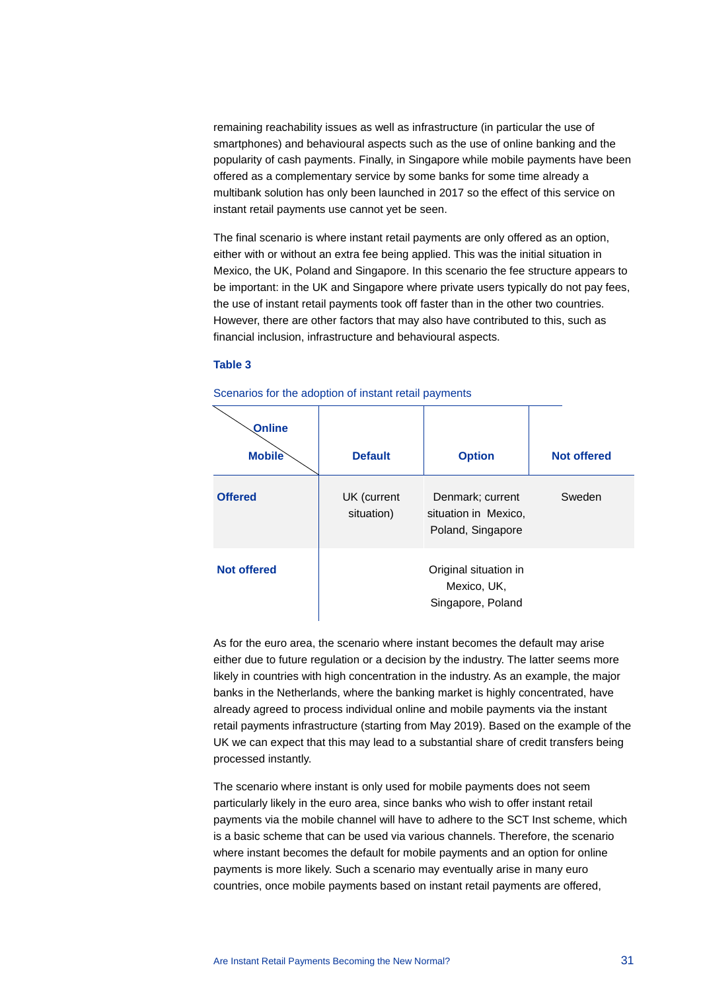remaining reachability issues as well as infrastructure (in particular the use of smartphones) and behavioural aspects such as the use of online banking and the popularity of cash payments. Finally, in Singapore while mobile payments have been offered as a complementary service by some banks for some time already a multibank solution has only been launched in 2017 so the effect of this service on instant retail payments use cannot yet be seen.

The final scenario is where instant retail payments are only offered as an option, either with or without an extra fee being applied. This was the initial situation in Mexico, the UK, Poland and Singapore. In this scenario the fee structure appears to be important: in the UK and Singapore where private users typically do not pay fees, the use of instant retail payments took off faster than in the other two countries. However, there are other factors that may also have contributed to this, such as financial inclusion, infrastructure and behavioural aspects.

#### **Table 3**

| Online<br><b>Mobile</b> | <b>Default</b>            | <b>Option</b>                                                 | <b>Not offered</b> |
|-------------------------|---------------------------|---------------------------------------------------------------|--------------------|
| <b>Offered</b>          | UK (current<br>situation) | Denmark; current<br>situation in Mexico,<br>Poland, Singapore | Sweden             |
| <b>Not offered</b>      |                           | Original situation in<br>Mexico, UK,<br>Singapore, Poland     |                    |

Scenarios for the adoption of instant retail payments

As for the euro area, the scenario where instant becomes the default may arise either due to future regulation or a decision by the industry. The latter seems more likely in countries with high concentration in the industry. As an example, the major banks in the Netherlands, where the banking market is highly concentrated, have already agreed to process individual online and mobile payments via the instant retail payments infrastructure (starting from May 2019). Based on the example of the UK we can expect that this may lead to a substantial share of credit transfers being processed instantly.

The scenario where instant is only used for mobile payments does not seem particularly likely in the euro area, since banks who wish to offer instant retail payments via the mobile channel will have to adhere to the SCT Inst scheme, which is a basic scheme that can be used via various channels. Therefore, the scenario where instant becomes the default for mobile payments and an option for online payments is more likely. Such a scenario may eventually arise in many euro countries, once mobile payments based on instant retail payments are offered,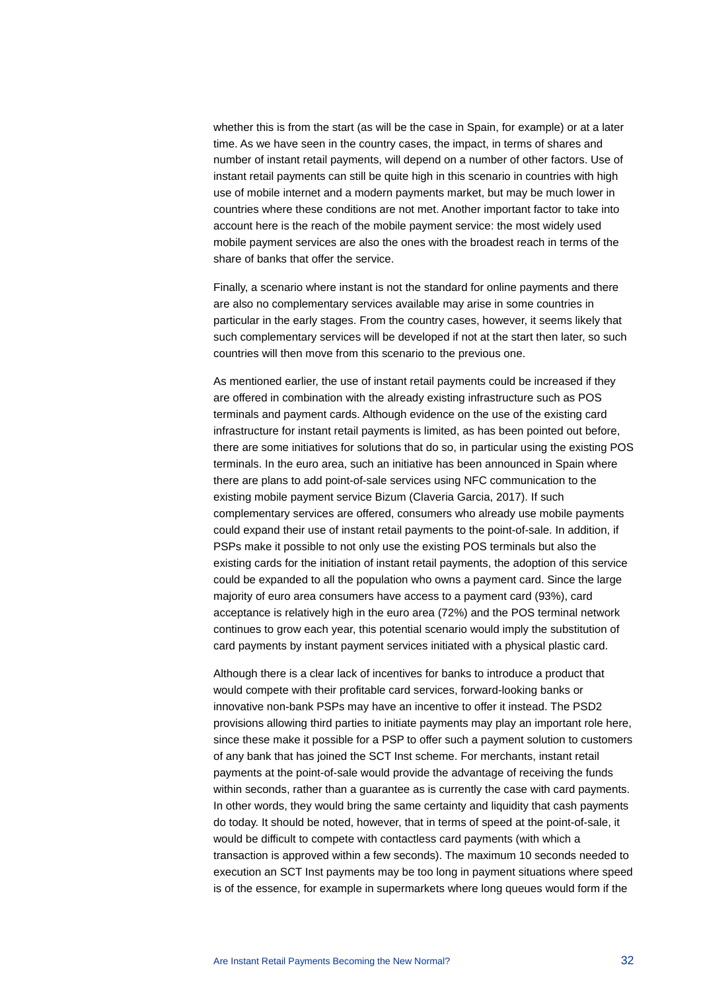whether this is from the start (as will be the case in Spain, for example) or at a later time. As we have seen in the country cases, the impact, in terms of shares and number of instant retail payments, will depend on a number of other factors. Use of instant retail payments can still be quite high in this scenario in countries with high use of mobile internet and a modern payments market, but may be much lower in countries where these conditions are not met. Another important factor to take into account here is the reach of the mobile payment service: the most widely used mobile payment services are also the ones with the broadest reach in terms of the share of banks that offer the service.

Finally, a scenario where instant is not the standard for online payments and there are also no complementary services available may arise in some countries in particular in the early stages. From the country cases, however, it seems likely that such complementary services will be developed if not at the start then later, so such countries will then move from this scenario to the previous one.

As mentioned earlier, the use of instant retail payments could be increased if they are offered in combination with the already existing infrastructure such as POS terminals and payment cards. Although evidence on the use of the existing card infrastructure for instant retail payments is limited, as has been pointed out before, there are some initiatives for solutions that do so, in particular using the existing POS terminals. In the euro area, such an initiative has been announced in Spain where there are plans to add point-of-sale services using NFC communication to the existing mobile payment service Bizum (Claveria Garcia, 2017). If such complementary services are offered, consumers who already use mobile payments could expand their use of instant retail payments to the point-of-sale. In addition, if PSPs make it possible to not only use the existing POS terminals but also the existing cards for the initiation of instant retail payments, the adoption of this service could be expanded to all the population who owns a payment card. Since the large majority of euro area consumers have access to a payment card (93%), card acceptance is relatively high in the euro area (72%) and the POS terminal network continues to grow each year, this potential scenario would imply the substitution of card payments by instant payment services initiated with a physical plastic card.

Although there is a clear lack of incentives for banks to introduce a product that would compete with their profitable card services, forward-looking banks or innovative non-bank PSPs may have an incentive to offer it instead. The PSD2 provisions allowing third parties to initiate payments may play an important role here, since these make it possible for a PSP to offer such a payment solution to customers of any bank that has joined the SCT Inst scheme. For merchants, instant retail payments at the point-of-sale would provide the advantage of receiving the funds within seconds, rather than a guarantee as is currently the case with card payments. In other words, they would bring the same certainty and liquidity that cash payments do today. It should be noted, however, that in terms of speed at the point-of-sale, it would be difficult to compete with contactless card payments (with which a transaction is approved within a few seconds). The maximum 10 seconds needed to execution an SCT Inst payments may be too long in payment situations where speed is of the essence, for example in supermarkets where long queues would form if the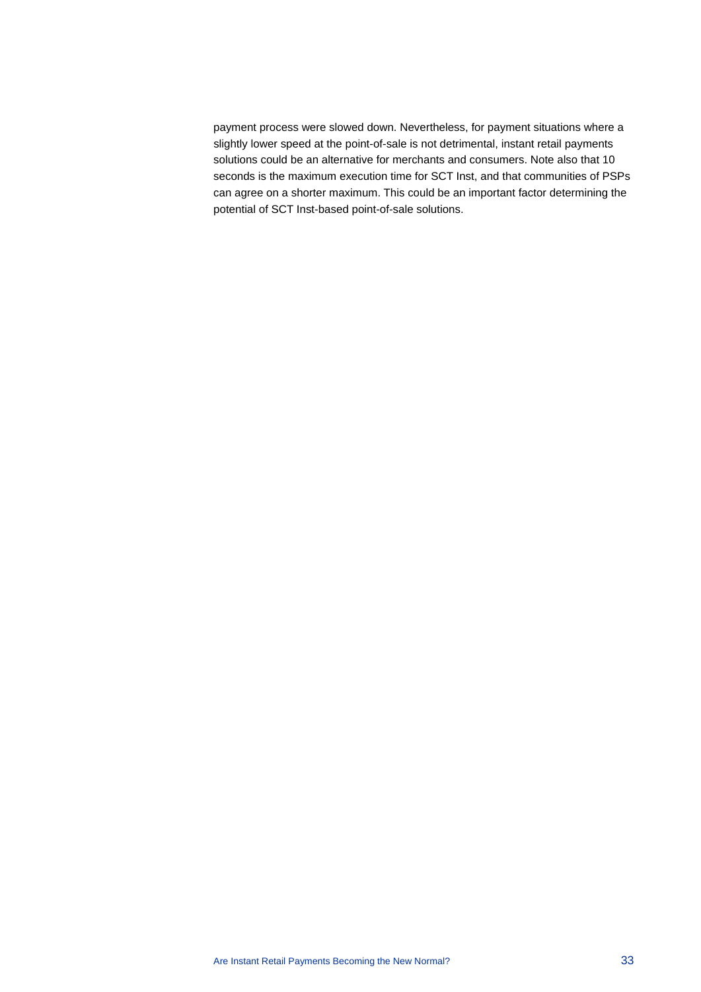payment process were slowed down. Nevertheless, for payment situations where a slightly lower speed at the point-of-sale is not detrimental, instant retail payments solutions could be an alternative for merchants and consumers. Note also that 10 seconds is the maximum execution time for SCT Inst, and that communities of PSPs can agree on a shorter maximum. This could be an important factor determining the potential of SCT Inst-based point-of-sale solutions.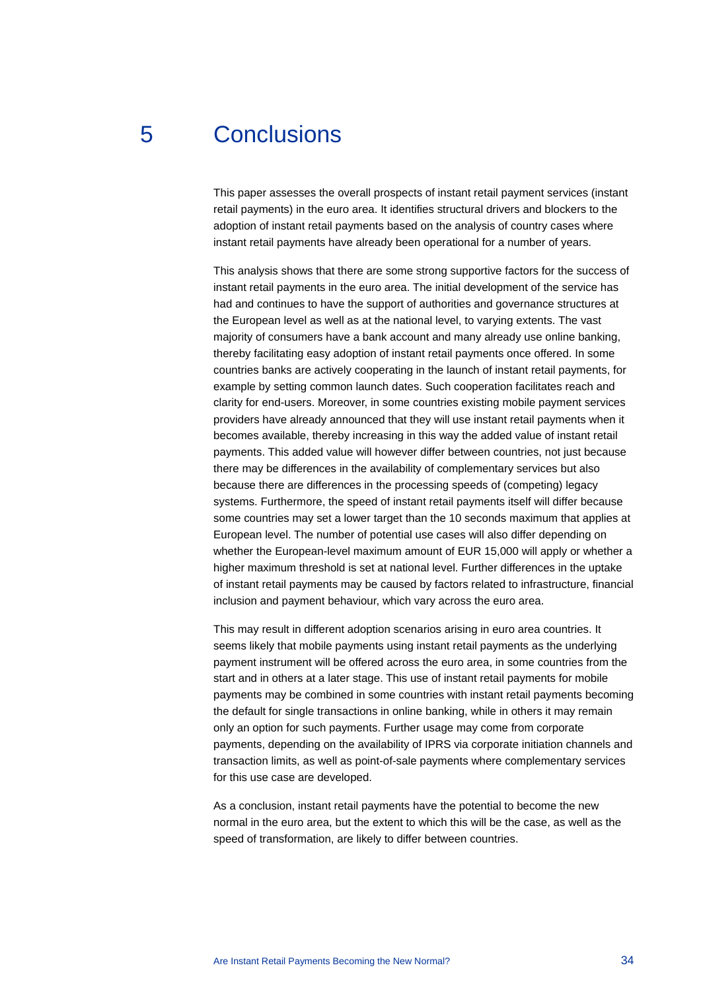## 5 Conclusions

<span id="page-34-0"></span>This paper assesses the overall prospects of instant retail payment services (instant retail payments) in the euro area. It identifies structural drivers and blockers to the adoption of instant retail payments based on the analysis of country cases where instant retail payments have already been operational for a number of years.

This analysis shows that there are some strong supportive factors for the success of instant retail payments in the euro area. The initial development of the service has had and continues to have the support of authorities and governance structures at the European level as well as at the national level, to varying extents. The vast majority of consumers have a bank account and many already use online banking, thereby facilitating easy adoption of instant retail payments once offered. In some countries banks are actively cooperating in the launch of instant retail payments, for example by setting common launch dates. Such cooperation facilitates reach and clarity for end-users. Moreover, in some countries existing mobile payment services providers have already announced that they will use instant retail payments when it becomes available, thereby increasing in this way the added value of instant retail payments. This added value will however differ between countries, not just because there may be differences in the availability of complementary services but also because there are differences in the processing speeds of (competing) legacy systems. Furthermore, the speed of instant retail payments itself will differ because some countries may set a lower target than the 10 seconds maximum that applies at European level. The number of potential use cases will also differ depending on whether the European-level maximum amount of EUR 15,000 will apply or whether a higher maximum threshold is set at national level. Further differences in the uptake of instant retail payments may be caused by factors related to infrastructure, financial inclusion and payment behaviour, which vary across the euro area.

This may result in different adoption scenarios arising in euro area countries. It seems likely that mobile payments using instant retail payments as the underlying payment instrument will be offered across the euro area, in some countries from the start and in others at a later stage. This use of instant retail payments for mobile payments may be combined in some countries with instant retail payments becoming the default for single transactions in online banking, while in others it may remain only an option for such payments. Further usage may come from corporate payments, depending on the availability of IPRS via corporate initiation channels and transaction limits, as well as point-of-sale payments where complementary services for this use case are developed.

As a conclusion, instant retail payments have the potential to become the new normal in the euro area, but the extent to which this will be the case, as well as the speed of transformation, are likely to differ between countries.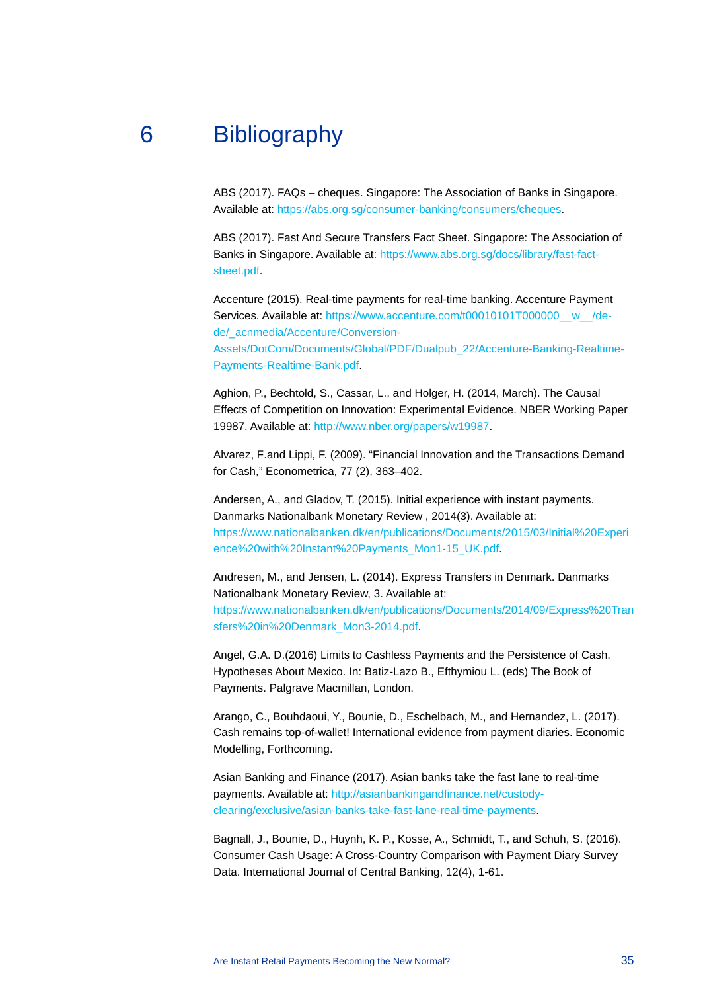## 6 Bibliography

<span id="page-35-0"></span>ABS (2017). FAQs – cheques. Singapore: The Association of Banks in Singapore. Available at: [https://abs.org.sg/consumer-banking/consumers/cheques.](https://abs.org.sg/consumer-banking/consumers/cheques)

ABS (2017). Fast And Secure Transfers Fact Sheet. Singapore: The Association of Banks in Singapore. Available at: [https://www.abs.org.sg/docs/library/fast-fact](https://www.abs.org.sg/docs/library/fast-fact-sheet.pdf)[sheet.pdf.](https://www.abs.org.sg/docs/library/fast-fact-sheet.pdf)

Accenture (2015). Real-time payments for real-time banking. Accenture Payment Services. Available at: [https://www.accenture.com/t00010101T000000\\_\\_w\\_\\_/de](https://www.accenture.com/t00010101T000000__w__/de-de/_acnmedia/Accenture/Conversion-Assets/DotCom/Documents/Global/PDF/Dualpub_22/Accenture-Banking-Realtime-Payments-Realtime-Bank.pdf)[de/\\_acnmedia/Accenture/Conversion-](https://www.accenture.com/t00010101T000000__w__/de-de/_acnmedia/Accenture/Conversion-Assets/DotCom/Documents/Global/PDF/Dualpub_22/Accenture-Banking-Realtime-Payments-Realtime-Bank.pdf)

[Assets/DotCom/Documents/Global/PDF/Dualpub\\_22/Accenture-Banking-Realtime-](https://www.accenture.com/t00010101T000000__w__/de-de/_acnmedia/Accenture/Conversion-Assets/DotCom/Documents/Global/PDF/Dualpub_22/Accenture-Banking-Realtime-Payments-Realtime-Bank.pdf)[Payments-Realtime-Bank.pdf.](https://www.accenture.com/t00010101T000000__w__/de-de/_acnmedia/Accenture/Conversion-Assets/DotCom/Documents/Global/PDF/Dualpub_22/Accenture-Banking-Realtime-Payments-Realtime-Bank.pdf)

Aghion, P., Bechtold, S., Cassar, L., and Holger, H. (2014, March). The Causal Effects of Competition on Innovation: Experimental Evidence. NBER Working Paper 19987. Available at: [http://www.nber.org/papers/w19987.](http://www.nber.org/papers/w19987)

Alvarez, F.and Lippi, F. (2009). "Financial Innovation and the Transactions Demand for Cash," Econometrica, 77 (2), 363–402.

Andersen, A., and Gladov, T. (2015). Initial experience with instant payments. Danmarks Nationalbank Monetary Review , 2014(3). Available at: [https://www.nationalbanken.dk/en/publications/Documents/2015/03/Initial%20Experi](https://www.nationalbanken.dk/en/publications/Documents/2015/03/Initial%20Experience%20with%20Instant%20Payments_Mon1-15_UK.pdf) [ence%20with%20Instant%20Payments\\_Mon1-15\\_UK.pdf.](https://www.nationalbanken.dk/en/publications/Documents/2015/03/Initial%20Experience%20with%20Instant%20Payments_Mon1-15_UK.pdf)

Andresen, M., and Jensen, L. (2014). Express Transfers in Denmark. Danmarks Nationalbank Monetary Review, 3. Available at: [https://www.nationalbanken.dk/en/publications/Documents/2014/09/Express%20Tran](https://www.nationalbanken.dk/en/publications/Documents/2014/09/Express%20Transfers%20in%20Denmark_Mon3-2014.pdf) [sfers%20in%20Denmark\\_Mon3-2014.pdf.](https://www.nationalbanken.dk/en/publications/Documents/2014/09/Express%20Transfers%20in%20Denmark_Mon3-2014.pdf)

Angel, G.A. D.(2016) Limits to Cashless Payments and the Persistence of Cash. Hypotheses About Mexico. In: Batiz-Lazo B., Efthymiou L. (eds) The Book of Payments. Palgrave Macmillan, London.

Arango, C., Bouhdaoui, Y., Bounie, D., Eschelbach, M., and Hernandez, L. (2017). Cash remains top-of-wallet! International evidence from payment diaries. Economic Modelling, Forthcoming.

Asian Banking and Finance (2017). Asian banks take the fast lane to real-time payments. Available at: [http://asianbankingandfinance.net/custody](http://asianbankingandfinance.net/custody-clearing/exclusive/asian-banks-take-fast-lane-real-time-payments)[clearing/exclusive/asian-banks-take-fast-lane-real-time-payments.](http://asianbankingandfinance.net/custody-clearing/exclusive/asian-banks-take-fast-lane-real-time-payments)

Bagnall, J., Bounie, D., Huynh, K. P., Kosse, A., Schmidt, T., and Schuh, S. (2016). Consumer Cash Usage: A Cross-Country Comparison with Payment Diary Survey Data. International Journal of Central Banking, 12(4), 1-61.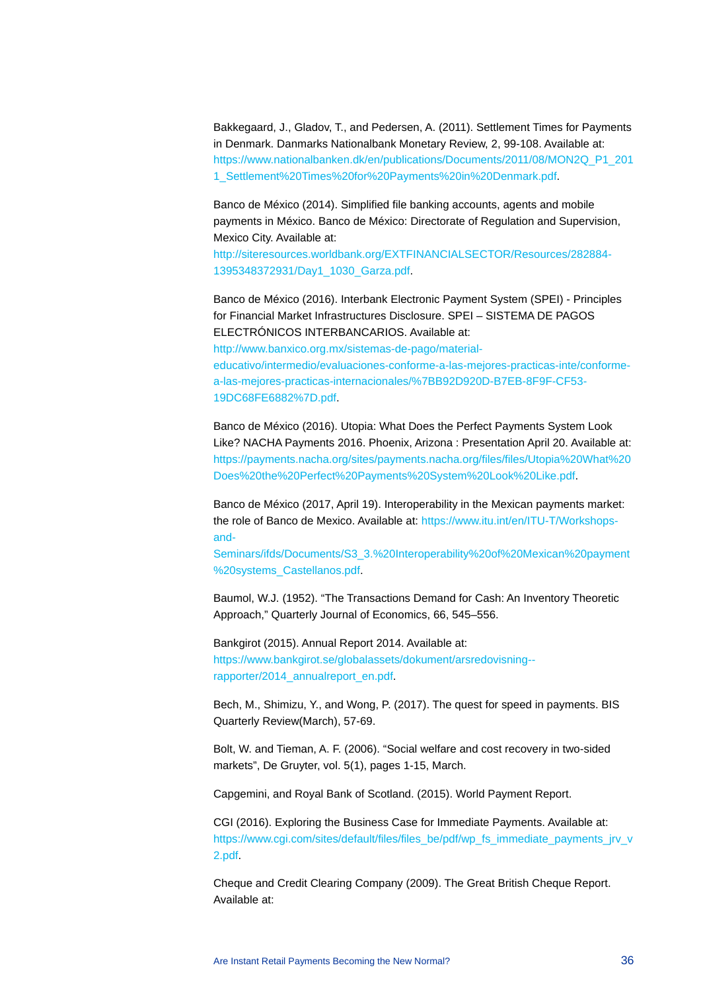Bakkegaard, J., Gladov, T., and Pedersen, A. (2011). Settlement Times for Payments in Denmark. Danmarks Nationalbank Monetary Review, 2, 99-108. Available at: [https://www.nationalbanken.dk/en/publications/Documents/2011/08/MON2Q\\_P1\\_201](https://www.nationalbanken.dk/en/publications/Documents/2011/08/MON2Q_P1_2011_Settlement%20Times%20for%20Payments%20in%20Denmark.pdf) [1\\_Settlement%20Times%20for%20Payments%20in%20Denmark.pdf.](https://www.nationalbanken.dk/en/publications/Documents/2011/08/MON2Q_P1_2011_Settlement%20Times%20for%20Payments%20in%20Denmark.pdf)

Banco de México (2014). Simplified file banking accounts, agents and mobile payments in México. Banco de México: Directorate of Regulation and Supervision, Mexico City. Available at:

[http://siteresources.worldbank.org/EXTFINANCIALSECTOR/Resources/282884-](http://siteresources.worldbank.org/EXTFINANCIALSECTOR/Resources/282884-1395348372931/Day1_1030_Garza.pdf) [1395348372931/Day1\\_1030\\_Garza.pdf.](http://siteresources.worldbank.org/EXTFINANCIALSECTOR/Resources/282884-1395348372931/Day1_1030_Garza.pdf) 

Banco de México (2016). Interbank Electronic Payment System (SPEI) - Principles for Financial Market Infrastructures Disclosure. SPEI – SISTEMA DE PAGOS ELECTRÓNICOS INTERBANCARIOS. Available at:

[http://www.banxico.org.mx/sistemas-de-pago/material](http://www.banxico.org.mx/sistemas-de-pago/material-educativo/intermedio/evaluaciones-conforme-a-las-mejores-practicas-inte/conforme-a-las-mejores-practicas-internacionales/%7BB92D920D-B7EB-8F9F-CF53-19DC68FE6882%7D.pdf)[educativo/intermedio/evaluaciones-conforme-a-las-mejores-practicas-inte/conforme](http://www.banxico.org.mx/sistemas-de-pago/material-educativo/intermedio/evaluaciones-conforme-a-las-mejores-practicas-inte/conforme-a-las-mejores-practicas-internacionales/%7BB92D920D-B7EB-8F9F-CF53-19DC68FE6882%7D.pdf)[a-las-mejores-practicas-internacionales/%7BB92D920D-B7EB-8F9F-CF53-](http://www.banxico.org.mx/sistemas-de-pago/material-educativo/intermedio/evaluaciones-conforme-a-las-mejores-practicas-inte/conforme-a-las-mejores-practicas-internacionales/%7BB92D920D-B7EB-8F9F-CF53-19DC68FE6882%7D.pdf) [19DC68FE6882%7D.pdf.](http://www.banxico.org.mx/sistemas-de-pago/material-educativo/intermedio/evaluaciones-conforme-a-las-mejores-practicas-inte/conforme-a-las-mejores-practicas-internacionales/%7BB92D920D-B7EB-8F9F-CF53-19DC68FE6882%7D.pdf)

Banco de México (2016). Utopia: What Does the Perfect Payments System Look Like? NACHA Payments 2016. Phoenix, Arizona : Presentation April 20. Available at: [https://payments.nacha.org/sites/payments.nacha.org/files/files/Utopia%20What%20](https://payments.nacha.org/sites/payments.nacha.org/files/files/Utopia%20What%20Does%20the%20Perfect%20Payments%20System%20Look%20Like.pdf) [Does%20the%20Perfect%20Payments%20System%20Look%20Like.pdf.](https://payments.nacha.org/sites/payments.nacha.org/files/files/Utopia%20What%20Does%20the%20Perfect%20Payments%20System%20Look%20Like.pdf)

Banco de México (2017, April 19). Interoperability in the Mexican payments market: the role of Banco de Mexico. Available at: [https://www.itu.int/en/ITU-T/Workshops](https://www.itu.int/en/ITU-T/Workshops-and-Seminars/ifds/Documents/S3_3.%20Interoperability%20of%20Mexican%20payment%20systems_Castellanos.pdf)[and-](https://www.itu.int/en/ITU-T/Workshops-and-Seminars/ifds/Documents/S3_3.%20Interoperability%20of%20Mexican%20payment%20systems_Castellanos.pdf)

[Seminars/ifds/Documents/S3\\_3.%20Interoperability%20of%20Mexican%20payment](https://www.itu.int/en/ITU-T/Workshops-and-Seminars/ifds/Documents/S3_3.%20Interoperability%20of%20Mexican%20payment%20systems_Castellanos.pdf) [%20systems\\_Castellanos.pdf.](https://www.itu.int/en/ITU-T/Workshops-and-Seminars/ifds/Documents/S3_3.%20Interoperability%20of%20Mexican%20payment%20systems_Castellanos.pdf)

Baumol, W.J. (1952). "The Transactions Demand for Cash: An Inventory Theoretic Approach," Quarterly Journal of Economics, 66, 545–556.

Bankgirot (2015). Annual Report 2014. Available at: [https://www.bankgirot.se/globalassets/dokument/arsredovisning-](https://www.bankgirot.se/globalassets/dokument/arsredovisning--rapporter/2014_annualreport_en.pdf) [rapporter/2014\\_annualreport\\_en.pdf.](https://www.bankgirot.se/globalassets/dokument/arsredovisning--rapporter/2014_annualreport_en.pdf)

Bech, M., Shimizu, Y., and Wong, P. (2017). The quest for speed in payments. BIS Quarterly Review(March), 57-69.

Bolt, W. and Tieman, A. F. (2006). "Social welfare and cost recovery in two-sided markets", De Gruyter, vol. 5(1), pages 1-15, March.

Capgemini, and Royal Bank of Scotland. (2015). World Payment Report.

CGI (2016). Exploring the Business Case for Immediate Payments. Available at: [https://www.cgi.com/sites/default/files/files\\_be/pdf/wp\\_fs\\_immediate\\_payments\\_jrv\\_v](https://www.cgi.com/sites/default/files/files_be/pdf/wp_fs_immediate_payments_jrv_v2.pdf) [2.pdf.](https://www.cgi.com/sites/default/files/files_be/pdf/wp_fs_immediate_payments_jrv_v2.pdf)

Cheque and Credit Clearing Company (2009). The Great British Cheque Report. Available at: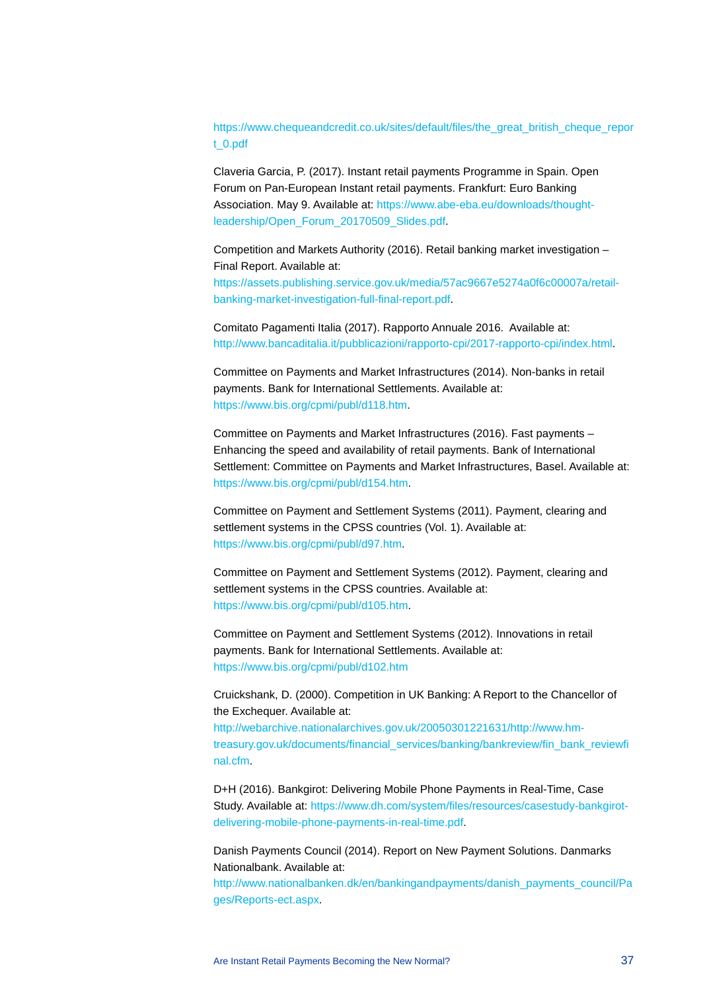[https://www.chequeandcredit.co.uk/sites/default/files/the\\_great\\_british\\_cheque\\_repor](https://www.chequeandcredit.co.uk/sites/default/files/the_great_british_cheque_report_0.pdf) [t\\_0.pdf](https://www.chequeandcredit.co.uk/sites/default/files/the_great_british_cheque_report_0.pdf)

Claveria Garcia, P. (2017). Instant retail payments Programme in Spain. Open Forum on Pan-European Instant retail payments. Frankfurt: Euro Banking Association. May 9. Available at: [https://www.abe-eba.eu/downloads/thought](https://www.abe-eba.eu/downloads/thought-leadership/Open_Forum_20170509_Slides.pdf)[leadership/Open\\_Forum\\_20170509\\_Slides.pdf.](https://www.abe-eba.eu/downloads/thought-leadership/Open_Forum_20170509_Slides.pdf)

Competition and Markets Authority (2016). Retail banking market investigation – Final Report. Available at:

[https://assets.publishing.service.gov.uk/media/57ac9667e5274a0f6c00007a/retail](https://assets.publishing.service.gov.uk/media/57ac9667e5274a0f6c00007a/retail-banking-market-investigation-full-final-report.pdf)[banking-market-investigation-full-final-report.pdf.](https://assets.publishing.service.gov.uk/media/57ac9667e5274a0f6c00007a/retail-banking-market-investigation-full-final-report.pdf)

Comitato Pagamenti Italia (2017). Rapporto Annuale 2016. Available at: [http://www.bancaditalia.it/pubblicazioni/rapporto-cpi/2017-rapporto-cpi/index.html.](http://www.bancaditalia.it/pubblicazioni/rapporto-cpi/2017-rapporto-cpi/index.html) 

Committee on Payments and Market Infrastructures (2014). Non-banks in retail payments. Bank for International Settlements. Available at: [https://www.bis.org/cpmi/publ/d118.htm.](https://www.bis.org/cpmi/publ/d118.htm)

Committee on Payments and Market Infrastructures (2016). Fast payments – Enhancing the speed and availability of retail payments. Bank of International Settlement: Committee on Payments and Market Infrastructures, Basel. Available at: [https://www.bis.org/cpmi/publ/d154.htm.](https://www.bis.org/cpmi/publ/d154.htm)

Committee on Payment and Settlement Systems (2011). Payment, clearing and settlement systems in the CPSS countries (Vol. 1). Available at: [https://www.bis.org/cpmi/publ/d97.htm.](https://www.bis.org/cpmi/publ/d97.htm)

Committee on Payment and Settlement Systems (2012). Payment, clearing and settlement systems in the CPSS countries. Available at: [https://www.bis.org/cpmi/publ/d105.htm.](https://www.bis.org/cpmi/publ/d105.htm)

Committee on Payment and Settlement Systems (2012). Innovations in retail payments. Bank for International Settlements. Available at: <https://www.bis.org/cpmi/publ/d102.htm>

Cruickshank, D. (2000). Competition in UK Banking: A Report to the Chancellor of the Exchequer. Available at:

[http://webarchive.nationalarchives.gov.uk/20050301221631/http://www.hm](http://webarchive.nationalarchives.gov.uk/20050301221631/http:/www.hm-treasury.gov.uk/documents/financial_services/banking/bankreview/fin_bank_reviewfinal.cfm)[treasury.gov.uk/documents/financial\\_services/banking/bankreview/fin\\_bank\\_reviewfi](http://webarchive.nationalarchives.gov.uk/20050301221631/http:/www.hm-treasury.gov.uk/documents/financial_services/banking/bankreview/fin_bank_reviewfinal.cfm) [nal.cfm.](http://webarchive.nationalarchives.gov.uk/20050301221631/http:/www.hm-treasury.gov.uk/documents/financial_services/banking/bankreview/fin_bank_reviewfinal.cfm)

D+H (2016). Bankgirot: Delivering Mobile Phone Payments in Real-Time, Case Study. Available at: [https://www.dh.com/system/files/resources/casestudy-bankgirot](https://www.dh.com/system/files/resources/casestudy-bankgirot-delivering-mobile-phone-payments-in-real-time.pdf)[delivering-mobile-phone-payments-in-real-time.pdf.](https://www.dh.com/system/files/resources/casestudy-bankgirot-delivering-mobile-phone-payments-in-real-time.pdf)

Danish Payments Council (2014). Report on New Payment Solutions. Danmarks Nationalbank. Available at:

[http://www.nationalbanken.dk/en/bankingandpayments/danish\\_payments\\_council/Pa](http://www.nationalbanken.dk/en/bankingandpayments/danish_payments_council/Pages/Reports-ect.aspx) [ges/Reports-ect.aspx.](http://www.nationalbanken.dk/en/bankingandpayments/danish_payments_council/Pages/Reports-ect.aspx)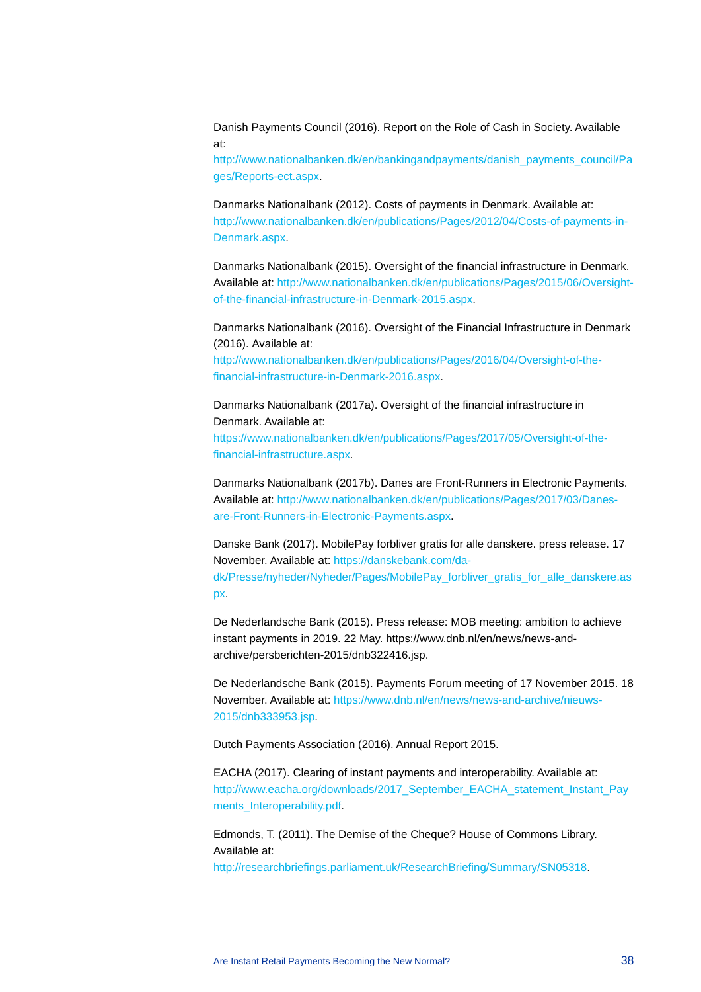Danish Payments Council (2016). Report on the Role of Cash in Society. Available at:

[http://www.nationalbanken.dk/en/bankingandpayments/danish\\_payments\\_council/Pa](http://www.nationalbanken.dk/en/bankingandpayments/danish_payments_council/Pages/Reports-ect.aspx) [ges/Reports-ect.aspx.](http://www.nationalbanken.dk/en/bankingandpayments/danish_payments_council/Pages/Reports-ect.aspx)

Danmarks Nationalbank (2012). Costs of payments in Denmark. Available at: [http://www.nationalbanken.dk/en/publications/Pages/2012/04/Costs-of-payments-in-](http://www.nationalbanken.dk/en/publications/Pages/2012/04/Costs-of-payments-in-Denmark.aspx)[Denmark.aspx.](http://www.nationalbanken.dk/en/publications/Pages/2012/04/Costs-of-payments-in-Denmark.aspx)

Danmarks Nationalbank (2015). Oversight of the financial infrastructure in Denmark. Available at: [http://www.nationalbanken.dk/en/publications/Pages/2015/06/Oversight](http://www.nationalbanken.dk/en/publications/Pages/2015/06/Oversight-of-the-financial-infrastructure-in-Denmark-2015.aspx)[of-the-financial-infrastructure-in-Denmark-2015.aspx.](http://www.nationalbanken.dk/en/publications/Pages/2015/06/Oversight-of-the-financial-infrastructure-in-Denmark-2015.aspx)

Danmarks Nationalbank (2016). Oversight of the Financial Infrastructure in Denmark (2016). Available at: [http://www.nationalbanken.dk/en/publications/Pages/2016/04/Oversight-of-the](http://www.nationalbanken.dk/en/publications/Pages/2016/04/Oversight-of-the-financial-infrastructure-in-Denmark-2016.aspx)[financial-infrastructure-in-Denmark-2016.aspx.](http://www.nationalbanken.dk/en/publications/Pages/2016/04/Oversight-of-the-financial-infrastructure-in-Denmark-2016.aspx)

Danmarks Nationalbank (2017a). Oversight of the financial infrastructure in Denmark. Available at: [https://www.nationalbanken.dk/en/publications/Pages/2017/05/Oversight-of-the](https://www.nationalbanken.dk/en/publications/Pages/2017/05/Oversight-of-the-financial-infrastructure.aspx)[financial-infrastructure.aspx.](https://www.nationalbanken.dk/en/publications/Pages/2017/05/Oversight-of-the-financial-infrastructure.aspx)

Danmarks Nationalbank (2017b). Danes are Front-Runners in Electronic Payments. Available at: [http://www.nationalbanken.dk/en/publications/Pages/2017/03/Danes](http://www.nationalbanken.dk/en/publications/Pages/2017/03/Danes-are-Front-Runners-in-Electronic-Payments.aspx)[are-Front-Runners-in-Electronic-Payments.aspx.](http://www.nationalbanken.dk/en/publications/Pages/2017/03/Danes-are-Front-Runners-in-Electronic-Payments.aspx)

Danske Bank (2017). MobilePay forbliver gratis for alle danskere. press release. 17 November. Available at: [https://danskebank.com/da](https://danskebank.com/da-dk/Presse/nyheder/Nyheder/Pages/MobilePay_forbliver_gratis_for_alle_danskere.aspx)[dk/Presse/nyheder/Nyheder/Pages/MobilePay\\_forbliver\\_gratis\\_for\\_alle\\_danskere.as](https://danskebank.com/da-dk/Presse/nyheder/Nyheder/Pages/MobilePay_forbliver_gratis_for_alle_danskere.aspx) [px.](https://danskebank.com/da-dk/Presse/nyheder/Nyheder/Pages/MobilePay_forbliver_gratis_for_alle_danskere.aspx)

De Nederlandsche Bank (2015). Press release: MOB meeting: ambition to achieve instant payments in 2019. 22 May. https://www.dnb.nl/en/news/news-andarchive/persberichten-2015/dnb322416.jsp.

De Nederlandsche Bank (2015). Payments Forum meeting of 17 November 2015. 18 November. Available at: [https://www.dnb.nl/en/news/news-and-archive/nieuws-](https://www.dnb.nl/en/news/news-and-archive/nieuws-2015/dnb333953.jsp)[2015/dnb333953.jsp.](https://www.dnb.nl/en/news/news-and-archive/nieuws-2015/dnb333953.jsp)

Dutch Payments Association (2016). Annual Report 2015.

EACHA (2017). Clearing of instant payments and interoperability. Available at: [http://www.eacha.org/downloads/2017\\_September\\_EACHA\\_statement\\_Instant\\_Pay](http://www.eacha.org/downloads/2017_September_EACHA_statement_Instant_Payments_Interoperability.pdf) [ments\\_Interoperability.pdf.](http://www.eacha.org/downloads/2017_September_EACHA_statement_Instant_Payments_Interoperability.pdf)

Edmonds, T. (2011). The Demise of the Cheque? House of Commons Library. Available at:

[http://researchbriefings.parliament.uk/ResearchBriefing/Summary/SN05318.](http://researchbriefings.parliament.uk/ResearchBriefing/Summary/SN05318)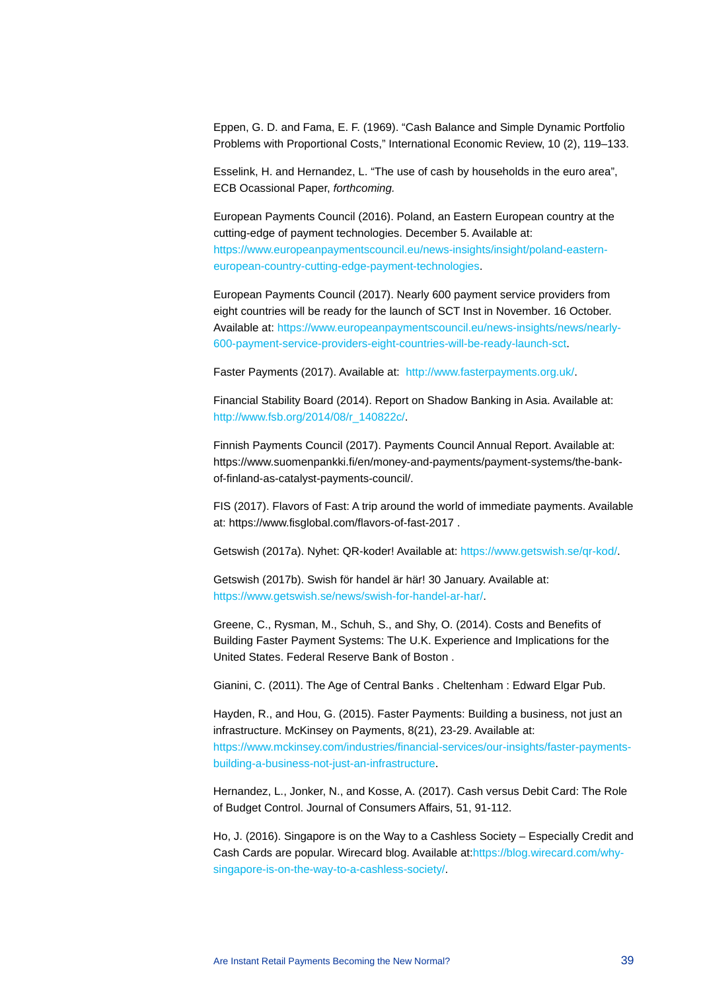Eppen, G. D. and Fama, E. F. (1969). "Cash Balance and Simple Dynamic Portfolio Problems with Proportional Costs," International Economic Review, 10 (2), 119–133.

Esselink, H. and Hernandez, L. "The use of cash by households in the euro area", ECB Ocassional Paper, *forthcoming.*

European Payments Council (2016). Poland, an Eastern European country at the cutting-edge of payment technologies. December 5. Available at: [https://www.europeanpaymentscouncil.eu/news-insights/insight/poland-eastern](https://www.europeanpaymentscouncil.eu/news-insights/insight/poland-eastern-european-country-cutting-edge-payment-technologies)[european-country-cutting-edge-payment-technologies.](https://www.europeanpaymentscouncil.eu/news-insights/insight/poland-eastern-european-country-cutting-edge-payment-technologies)

European Payments Council (2017). Nearly 600 payment service providers from eight countries will be ready for the launch of SCT Inst in November. 16 October. Available at: [https://www.europeanpaymentscouncil.eu/news-insights/news/nearly-](https://www.europeanpaymentscouncil.eu/news-insights/news/nearly-600-payment-service-providers-eight-countries-will-be-ready-launch-sct)[600-payment-service-providers-eight-countries-will-be-ready-launch-sct.](https://www.europeanpaymentscouncil.eu/news-insights/news/nearly-600-payment-service-providers-eight-countries-will-be-ready-launch-sct) 

Faster Payments (2017). Available at: [http://www.fasterpayments.org.uk/.](http://www.fasterpayments.org.uk/)

Financial Stability Board (2014). Report on Shadow Banking in Asia. Available at: [http://www.fsb.org/2014/08/r\\_140822c/.](http://www.fsb.org/2014/08/r_140822c/)

Finnish Payments Council (2017). Payments Council Annual Report. Available at: https://www.suomenpankki.fi/en/money-and-payments/payment-systems/the-bankof-finland-as-catalyst-payments-council/.

FIS (2017). Flavors of Fast: A trip around the world of immediate payments. Available at: https://www.fisglobal.com/flavors-of-fast-2017 .

Getswish (2017a). Nyhet: QR-koder! Available at: [https://www.getswish.se/qr-kod/.](https://www.getswish.se/qr-kod/)

Getswish (2017b). Swish för handel är här! 30 January. Available at: [https://www.getswish.se/news/swish-for-handel-ar-har/.](https://www.getswish.se/news/swish-for-handel-ar-har/)

Greene, C., Rysman, M., Schuh, S., and Shy, O. (2014). Costs and Benefits of Building Faster Payment Systems: The U.K. Experience and Implications for the United States. Federal Reserve Bank of Boston .

Gianini, C. (2011). The Age of Central Banks . Cheltenham : Edward Elgar Pub.

Hayden, R., and Hou, G. (2015). Faster Payments: Building a business, not just an infrastructure. McKinsey on Payments, 8(21), 23-29. Available at: [https://www.mckinsey.com/industries/financial-services/our-insights/faster-payments](https://www.mckinsey.com/industries/financial-services/our-insights/faster-payments-building-a-business-not-just-an-infrastructure)[building-a-business-not-just-an-infrastructure.](https://www.mckinsey.com/industries/financial-services/our-insights/faster-payments-building-a-business-not-just-an-infrastructure)

Hernandez, L., Jonker, N., and Kosse, A. (2017). Cash versus Debit Card: The Role of Budget Control. Journal of Consumers Affairs, 51, 91-112.

Ho, J. (2016). Singapore is on the Way to a Cashless Society – Especially Credit and Cash Cards are popular. Wirecard blog. Available at[:https://blog.wirecard.com/why](https://blog.wirecard.com/why-singapore-is-on-the-way-to-a-cashless-society/)[singapore-is-on-the-way-to-a-cashless-society/.](https://blog.wirecard.com/why-singapore-is-on-the-way-to-a-cashless-society/)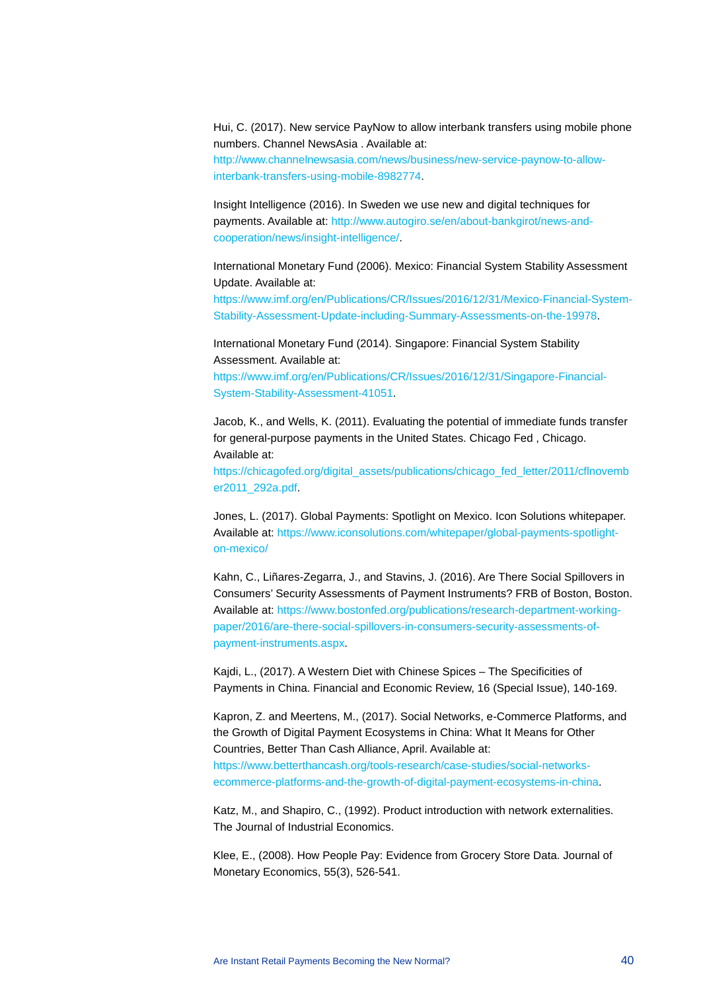Hui, C. (2017). New service PayNow to allow interbank transfers using mobile phone numbers. Channel NewsAsia . Available at:

[http://www.channelnewsasia.com/news/business/new-service-paynow-to-allow](http://www.channelnewsasia.com/news/business/new-service-paynow-to-allow-interbank-transfers-using-mobile-8982774)[interbank-transfers-using-mobile-8982774.](http://www.channelnewsasia.com/news/business/new-service-paynow-to-allow-interbank-transfers-using-mobile-8982774)

Insight Intelligence (2016). In Sweden we use new and digital techniques for payments. Available at: [http://www.autogiro.se/en/about-bankgirot/news-and](http://www.autogiro.se/en/about-bankgirot/news-and-cooperation/news/insight-intelligence/)[cooperation/news/insight-intelligence/.](http://www.autogiro.se/en/about-bankgirot/news-and-cooperation/news/insight-intelligence/) 

International Monetary Fund (2006). Mexico: Financial System Stability Assessment Update. Available at:

[https://www.imf.org/en/Publications/CR/Issues/2016/12/31/Mexico-Financial-System-](https://www.imf.org/en/Publications/CR/Issues/2016/12/31/Mexico-Financial-System-Stability-Assessment-Update-including-Summary-Assessments-on-the-19978)[Stability-Assessment-Update-including-Summary-Assessments-on-the-19978.](https://www.imf.org/en/Publications/CR/Issues/2016/12/31/Mexico-Financial-System-Stability-Assessment-Update-including-Summary-Assessments-on-the-19978)

International Monetary Fund (2014). Singapore: Financial System Stability Assessment. Available at:

[https://www.imf.org/en/Publications/CR/Issues/2016/12/31/Singapore-Financial-](https://www.imf.org/en/Publications/CR/Issues/2016/12/31/Singapore-Financial-System-Stability-Assessment-41051)[System-Stability-Assessment-41051.](https://www.imf.org/en/Publications/CR/Issues/2016/12/31/Singapore-Financial-System-Stability-Assessment-41051)

Jacob, K., and Wells, K. (2011). Evaluating the potential of immediate funds transfer for general-purpose payments in the United States. Chicago Fed , Chicago. Available at:

[https://chicagofed.org/digital\\_assets/publications/chicago\\_fed\\_letter/2011/cflnovemb](https://chicagofed.org/digital_assets/publications/chicago_fed_letter/2011/cflnovember2011_292a.pdf) [er2011\\_292a.pdf.](https://chicagofed.org/digital_assets/publications/chicago_fed_letter/2011/cflnovember2011_292a.pdf)

Jones, L. (2017). Global Payments: Spotlight on Mexico. Icon Solutions whitepaper. Available at: [https://www.iconsolutions.com/whitepaper/global-payments-spotlight](https://www.iconsolutions.com/whitepaper/global-payments-spotlight-on-mexico/)[on-mexico/](https://www.iconsolutions.com/whitepaper/global-payments-spotlight-on-mexico/)

Kahn, C., Liñares-Zegarra, J., and Stavins, J. (2016). Are There Social Spillovers in Consumers' Security Assessments of Payment Instruments? FRB of Boston, Boston. Available at: [https://www.bostonfed.org/publications/research-department-working](https://www.bostonfed.org/publications/research-department-working-paper/2016/are-there-social-spillovers-in-consumers-security-assessments-of-payment-instruments.aspx)[paper/2016/are-there-social-spillovers-in-consumers-security-assessments-of](https://www.bostonfed.org/publications/research-department-working-paper/2016/are-there-social-spillovers-in-consumers-security-assessments-of-payment-instruments.aspx)[payment-instruments.aspx.](https://www.bostonfed.org/publications/research-department-working-paper/2016/are-there-social-spillovers-in-consumers-security-assessments-of-payment-instruments.aspx)

Kajdi, L., (2017). A Western Diet with Chinese Spices – The Specificities of Payments in China. Financial and Economic Review, 16 (Special Issue), 140-169.

Kapron, Z. and Meertens, M., (2017). Social Networks, e-Commerce Platforms, and the Growth of Digital Payment Ecosystems in China: What It Means for Other Countries, Better Than Cash Alliance, April. Available at: [https://www.betterthancash.org/tools-research/case-studies/social-networks](https://www.betterthancash.org/tools-research/case-studies/social-networks-ecommerce-platforms-and-the-growth-of-digital-payment-ecosystems-in-china)[ecommerce-platforms-and-the-growth-of-digital-payment-ecosystems-in-china.](https://www.betterthancash.org/tools-research/case-studies/social-networks-ecommerce-platforms-and-the-growth-of-digital-payment-ecosystems-in-china)

Katz, M., and Shapiro, C., (1992). Product introduction with network externalities. The Journal of Industrial Economics.

Klee, E., (2008). How People Pay: Evidence from Grocery Store Data. Journal of Monetary Economics, 55(3), 526-541.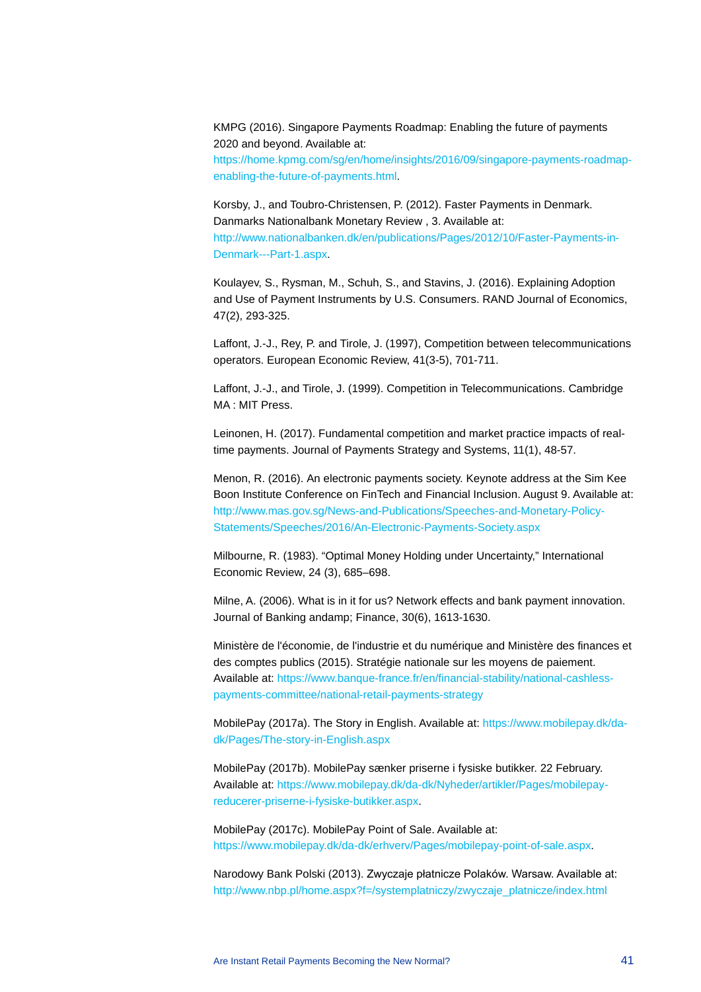KMPG (2016). Singapore Payments Roadmap: Enabling the future of payments 2020 and beyond. Available at: [https://home.kpmg.com/sg/en/home/insights/2016/09/singapore-payments-roadmap](https://home.kpmg.com/sg/en/home/insights/2016/09/singapore-payments-roadmap-enabling-the-future-of-payments.html)[enabling-the-future-of-payments.html.](https://home.kpmg.com/sg/en/home/insights/2016/09/singapore-payments-roadmap-enabling-the-future-of-payments.html)

Korsby, J., and Toubro-Christensen, P. (2012). Faster Payments in Denmark. Danmarks Nationalbank Monetary Review , 3. Available at: [http://www.nationalbanken.dk/en/publications/Pages/2012/10/Faster-Payments-in-](http://www.nationalbanken.dk/en/publications/Pages/2012/10/Faster-Payments-in-Denmark---Part-1.aspx)[Denmark---Part-1.aspx.](http://www.nationalbanken.dk/en/publications/Pages/2012/10/Faster-Payments-in-Denmark---Part-1.aspx)

Koulayev, S., Rysman, M., Schuh, S., and Stavins, J. (2016). Explaining Adoption and Use of Payment Instruments by U.S. Consumers. RAND Journal of Economics, 47(2), 293-325.

Laffont, J.-J., Rey, P. and Tirole, J. (1997), Competition between telecommunications operators. European Economic Review, 41(3-5), 701-711.

Laffont, J.-J., and Tirole, J. (1999). Competition in Telecommunications. Cambridge MA : MIT Press.

Leinonen, H. (2017). Fundamental competition and market practice impacts of realtime payments. Journal of Payments Strategy and Systems, 11(1), 48-57.

Menon, R. (2016). An electronic payments society. Keynote address at the Sim Kee Boon Institute Conference on FinTech and Financial Inclusion. August 9. Available at: [http://www.mas.gov.sg/News-and-Publications/Speeches-and-Monetary-Policy-](http://www.mas.gov.sg/News-and-Publications/Speeches-and-Monetary-Policy-Statements/Speeches/2016/An-Electronic-Payments-Society.aspx)[Statements/Speeches/2016/An-Electronic-Payments-Society.aspx](http://www.mas.gov.sg/News-and-Publications/Speeches-and-Monetary-Policy-Statements/Speeches/2016/An-Electronic-Payments-Society.aspx)

Milbourne, R. (1983). "Optimal Money Holding under Uncertainty," International Economic Review, 24 (3), 685–698.

Milne, A. (2006). What is in it for us? Network effects and bank payment innovation. Journal of Banking andamp; Finance, 30(6), 1613-1630.

Ministère de l'économie, de l'industrie et du numérique and Ministère des finances et des comptes publics (2015). Stratégie nationale sur les moyens de paiement. Available at: [https://www.banque-france.fr/en/financial-stability/national-cashless](https://www.banque-france.fr/en/financial-stability/national-cashless-payments-committee/national-retail-payments-strategy)[payments-committee/national-retail-payments-strategy](https://www.banque-france.fr/en/financial-stability/national-cashless-payments-committee/national-retail-payments-strategy)

MobilePay (2017a). The Story in English. Available at: [https://www.mobilepay.dk/da](https://www.mobilepay.dk/da-dk/Pages/The-story-in-English.aspx)[dk/Pages/The-story-in-English.aspx](https://www.mobilepay.dk/da-dk/Pages/The-story-in-English.aspx)

MobilePay (2017b). MobilePay sænker priserne i fysiske butikker. 22 February. Available at: [https://www.mobilepay.dk/da-dk/Nyheder/artikler/Pages/mobilepay](https://www.mobilepay.dk/da-dk/Nyheder/artikler/Pages/mobilepay-reducerer-priserne-i-fysiske-butikker.aspx)[reducerer-priserne-i-fysiske-butikker.aspx.](https://www.mobilepay.dk/da-dk/Nyheder/artikler/Pages/mobilepay-reducerer-priserne-i-fysiske-butikker.aspx)

MobilePay (2017c). MobilePay Point of Sale. Available at: [https://www.mobilepay.dk/da-dk/erhverv/Pages/mobilepay-point-of-sale.aspx.](https://www.mobilepay.dk/da-dk/erhverv/Pages/mobilepay-point-of-sale.aspx) 

Narodowy Bank Polski (2013). Zwyczaje płatnicze Polaków. Warsaw. Available at: [http://www.nbp.pl/home.aspx?f=/systemplatniczy/zwyczaje\\_platnicze/index.html](http://www.nbp.pl/home.aspx?f=/systemplatniczy/zwyczaje_platnicze/index.html)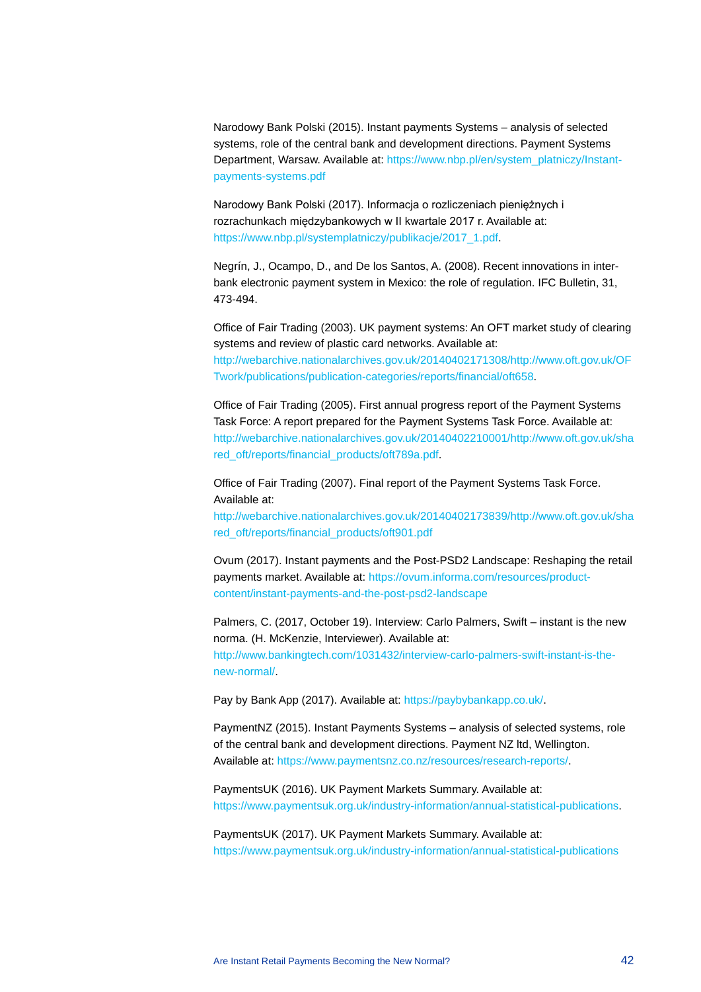Narodowy Bank Polski (2015). Instant payments Systems – analysis of selected systems, role of the central bank and development directions. Payment Systems Department, Warsaw. Available at: [https://www.nbp.pl/en/system\\_platniczy/Instant](https://www.nbp.pl/en/system_platniczy/Instant-payments-systems.pdf)[payments-systems.pdf](https://www.nbp.pl/en/system_platniczy/Instant-payments-systems.pdf)

Narodowy Bank Polski (2017). Informacja o rozliczeniach pieniężnych i rozrachunkach międzybankowych w II kwartale 2017 r. Available at: [https://www.nbp.pl/systemplatniczy/publikacje/2017\\_1.pdf.](https://www.nbp.pl/systemplatniczy/publikacje/2017_1.pdf) 

Negrín, J., Ocampo, D., and De los Santos, A. (2008). Recent innovations in interbank electronic payment system in Mexico: the role of regulation. IFC Bulletin, 31, 473-494.

Office of Fair Trading (2003). UK payment systems: An OFT market study of clearing systems and review of plastic card networks. Available at: [http://webarchive.nationalarchives.gov.uk/20140402171308/http://www.oft.gov.uk/OF](http://webarchive.nationalarchives.gov.uk/20140402171308/http:/www.oft.gov.uk/OFTwork/publications/publication-categories/reports/financial/oft658) [Twork/publications/publication-categories/reports/financial/oft658.](http://webarchive.nationalarchives.gov.uk/20140402171308/http:/www.oft.gov.uk/OFTwork/publications/publication-categories/reports/financial/oft658)

Office of Fair Trading (2005). First annual progress report of the Payment Systems Task Force: A report prepared for the Payment Systems Task Force. Available at: [http://webarchive.nationalarchives.gov.uk/20140402210001/http://www.oft.gov.uk/sha](http://webarchive.nationalarchives.gov.uk/20140402210001/http:/www.oft.gov.uk/shared_oft/reports/financial_products/oft789a.pdf) [red\\_oft/reports/financial\\_products/oft789a.pdf.](http://webarchive.nationalarchives.gov.uk/20140402210001/http:/www.oft.gov.uk/shared_oft/reports/financial_products/oft789a.pdf)

Office of Fair Trading (2007). Final report of the Payment Systems Task Force. Available at: [http://webarchive.nationalarchives.gov.uk/20140402173839/http://www.oft.gov.uk/sha](http://webarchive.nationalarchives.gov.uk/20140402173839/http:/www.oft.gov.uk/shared_oft/reports/financial_products/oft901.pdf)

[red\\_oft/reports/financial\\_products/oft901.pdf](http://webarchive.nationalarchives.gov.uk/20140402173839/http:/www.oft.gov.uk/shared_oft/reports/financial_products/oft901.pdf)

Ovum (2017). Instant payments and the Post-PSD2 Landscape: Reshaping the retail payments market. Available at: [https://ovum.informa.com/resources/product](https://ovum.informa.com/resources/product-content/instant-payments-and-the-post-psd2-landscape)[content/instant-payments-and-the-post-psd2-landscape](https://ovum.informa.com/resources/product-content/instant-payments-and-the-post-psd2-landscape)

Palmers, C. (2017, October 19). Interview: Carlo Palmers, Swift – instant is the new norma. (H. McKenzie, Interviewer). Available at: [http://www.bankingtech.com/1031432/interview-carlo-palmers-swift-instant-is-the](http://www.bankingtech.com/1031432/interview-carlo-palmers-swift-instant-is-the-new-normal/)[new-normal/.](http://www.bankingtech.com/1031432/interview-carlo-palmers-swift-instant-is-the-new-normal/)

Pay by Bank App (2017). Available at: [https://paybybankapp.co.uk/.](https://paybybankapp.co.uk/)

PaymentNZ (2015). Instant Payments Systems – analysis of selected systems, role of the central bank and development directions. Payment NZ ltd, Wellington. Available at: [https://www.paymentsnz.co.nz/resources/research-reports/.](https://www.paymentsnz.co.nz/resources/research-reports/)

PaymentsUK (2016). UK Payment Markets Summary. Available at: [https://www.paymentsuk.org.uk/industry-information/annual-statistical-publications.](https://www.paymentsuk.org.uk/industry-information/annual-statistical-publications)

PaymentsUK (2017). UK Payment Markets Summary. Available at: <https://www.paymentsuk.org.uk/industry-information/annual-statistical-publications>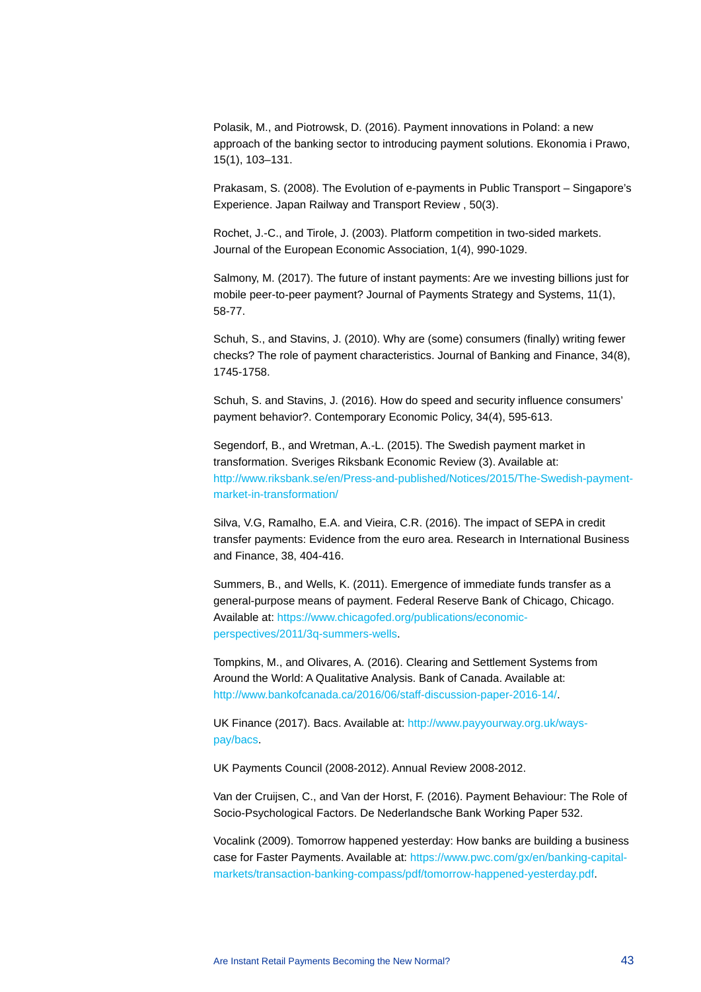Polasik, M., and Piotrowsk, D. (2016). Payment innovations in Poland: a new approach of the banking sector to introducing payment solutions. Ekonomia i Prawo, 15(1), 103–131.

Prakasam, S. (2008). The Evolution of e-payments in Public Transport – Singapore's Experience. Japan Railway and Transport Review , 50(3).

Rochet, J.-C., and Tirole, J. (2003). Platform competition in two-sided markets. Journal of the European Economic Association, 1(4), 990-1029.

Salmony, M. (2017). The future of instant payments: Are we investing billions just for mobile peer-to-peer payment? Journal of Payments Strategy and Systems, 11(1), 58-77.

Schuh, S., and Stavins, J. (2010). Why are (some) consumers (finally) writing fewer checks? The role of payment characteristics. Journal of Banking and Finance, 34(8), 1745-1758.

Schuh, S. and Stavins, J. (2016). How do speed and security influence consumers' payment behavior?. Contemporary Economic Policy, 34(4), 595-613.

Segendorf, B., and Wretman, A.-L. (2015). The Swedish payment market in transformation. Sveriges Riksbank Economic Review (3). Available at: [http://www.riksbank.se/en/Press-and-published/Notices/2015/The-Swedish-payment](http://www.riksbank.se/en/Press-and-published/Notices/2015/The-Swedish-payment-market-in-transformation/)[market-in-transformation/](http://www.riksbank.se/en/Press-and-published/Notices/2015/The-Swedish-payment-market-in-transformation/)

Silva, V.G, Ramalho, E.A. and Vieira, C.R. (2016). The impact of SEPA in credit transfer payments: Evidence from the euro area. Research in International Business and Finance, 38, 404-416.

Summers, B., and Wells, K. (2011). Emergence of immediate funds transfer as a general-purpose means of payment. Federal Reserve Bank of Chicago, Chicago. Available at: [https://www.chicagofed.org/publications/economic](https://www.chicagofed.org/publications/economic-perspectives/2011/3q-summers-wells)[perspectives/2011/3q-summers-wells.](https://www.chicagofed.org/publications/economic-perspectives/2011/3q-summers-wells)

Tompkins, M., and Olivares, A. (2016). Clearing and Settlement Systems from Around the World: A Qualitative Analysis. Bank of Canada. Available at: [http://www.bankofcanada.ca/2016/06/staff-discussion-paper-2016-14/.](http://www.bankofcanada.ca/2016/06/staff-discussion-paper-2016-14/) 

UK Finance (2017). Bacs. Available at: [http://www.payyourway.org.uk/ways](http://www.payyourway.org.uk/ways-pay/bacs)[pay/bacs.](http://www.payyourway.org.uk/ways-pay/bacs)

UK Payments Council (2008-2012). Annual Review 2008-2012.

Van der Cruijsen, C., and Van der Horst, F. (2016). Payment Behaviour: The Role of Socio-Psychological Factors. De Nederlandsche Bank Working Paper 532.

Vocalink (2009). Tomorrow happened yesterday: How banks are building a business case for Faster Payments. Available at: [https://www.pwc.com/gx/en/banking-capital](https://www.pwc.com/gx/en/banking-capital-markets/transaction-banking-compass/pdf/tomorrow-happened-yesterday.pdf)[markets/transaction-banking-compass/pdf/tomorrow-happened-yesterday.pdf.](https://www.pwc.com/gx/en/banking-capital-markets/transaction-banking-compass/pdf/tomorrow-happened-yesterday.pdf)